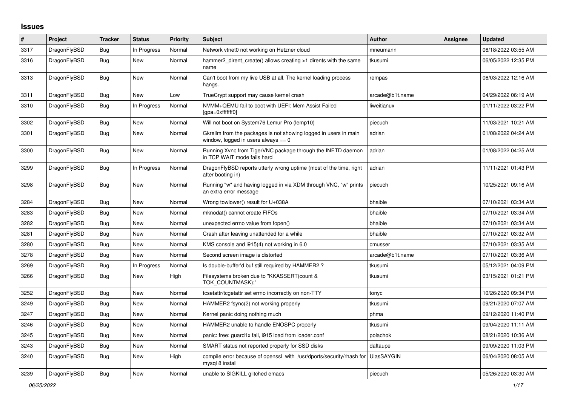## **Issues**

| #    | Project      | <b>Tracker</b> | <b>Status</b> | <b>Priority</b> | <b>Subject</b>                                                                                            | <b>Author</b>   | Assignee | <b>Updated</b>      |
|------|--------------|----------------|---------------|-----------------|-----------------------------------------------------------------------------------------------------------|-----------------|----------|---------------------|
| 3317 | DragonFlyBSD | Bug            | In Progress   | Normal          | Network vtnet0 not working on Hetzner cloud                                                               | mneumann        |          | 06/18/2022 03:55 AM |
| 3316 | DragonFlyBSD | Bug            | <b>New</b>    | Normal          | hammer2 dirent create() allows creating >1 dirents with the same<br>name                                  | tkusumi         |          | 06/05/2022 12:35 PM |
| 3313 | DragonFlyBSD | <b>Bug</b>     | <b>New</b>    | Normal          | Can't boot from my live USB at all. The kernel loading process<br>hangs.                                  | rempas          |          | 06/03/2022 12:16 AM |
| 3311 | DragonFlyBSD | <b>Bug</b>     | New           | Low             | TrueCrypt support may cause kernel crash                                                                  | arcade@b1t.name |          | 04/29/2022 06:19 AM |
| 3310 | DragonFlyBSD | <b>Bug</b>     | In Progress   | Normal          | NVMM+QEMU fail to boot with UEFI: Mem Assist Failed<br>[gpa=0xfffffff0]                                   | liweitianux     |          | 01/11/2022 03:22 PM |
| 3302 | DragonFlyBSD | Bug            | New           | Normal          | Will not boot on System76 Lemur Pro (lemp10)                                                              | piecuch         |          | 11/03/2021 10:21 AM |
| 3301 | DragonFlyBSD | Bug            | <b>New</b>    | Normal          | Gkrellm from the packages is not showing logged in users in main<br>window, logged in users always $== 0$ | adrian          |          | 01/08/2022 04:24 AM |
| 3300 | DragonFlyBSD | <b>Bug</b>     | New           | Normal          | Running Xvnc from TigerVNC package through the INETD daemon<br>in TCP WAIT mode fails hard                | adrian          |          | 01/08/2022 04:25 AM |
| 3299 | DragonFlyBSD | <b>Bug</b>     | In Progress   | Normal          | Dragon FlyBSD reports utterly wrong uptime (most of the time, right<br>after booting in)                  | adrian          |          | 11/11/2021 01:43 PM |
| 3298 | DragonFlyBSD | <b>Bug</b>     | <b>New</b>    | Normal          | Running "w" and having logged in via XDM through VNC, "w" prints<br>an extra error message                | piecuch         |          | 10/25/2021 09:16 AM |
| 3284 | DragonFlyBSD | <b>Bug</b>     | <b>New</b>    | Normal          | Wrong towlower() result for U+038A                                                                        | bhaible         |          | 07/10/2021 03:34 AM |
| 3283 | DragonFlyBSD | <b>Bug</b>     | <b>New</b>    | Normal          | mknodat() cannot create FIFOs                                                                             | bhaible         |          | 07/10/2021 03:34 AM |
| 3282 | DragonFlyBSD | Bug            | New           | Normal          | unexpected errno value from fopen()                                                                       | bhaible         |          | 07/10/2021 03:34 AM |
| 3281 | DragonFlyBSD | <b>Bug</b>     | New           | Normal          | Crash after leaving unattended for a while                                                                | bhaible         |          | 07/10/2021 03:32 AM |
| 3280 | DragonFlyBSD | Bug            | <b>New</b>    | Normal          | KMS console and i915(4) not working in 6.0                                                                | cmusser         |          | 07/10/2021 03:35 AM |
| 3278 | DragonFlyBSD | <b>Bug</b>     | <b>New</b>    | Normal          | Second screen image is distorted                                                                          | arcade@b1t.name |          | 07/10/2021 03:36 AM |
| 3269 | DragonFlyBSD | <b>Bug</b>     | In Progress   | Normal          | Is double-buffer'd buf still required by HAMMER2 ?                                                        | tkusumi         |          | 05/12/2021 04:09 PM |
| 3266 | DragonFlyBSD | <b>Bug</b>     | New           | High            | Filesystems broken due to "KKASSERT(count &<br>TOK_COUNTMASK);"                                           | tkusumi         |          | 03/15/2021 01:21 PM |
| 3252 | DragonFlyBSD | Bug            | New           | Normal          | tcsetattr/tcgetattr set errno incorrectly on non-TTY                                                      | tonyc           |          | 10/26/2020 09:34 PM |
| 3249 | DragonFlyBSD | Bug            | New           | Normal          | HAMMER2 fsync(2) not working properly                                                                     | tkusumi         |          | 09/21/2020 07:07 AM |
| 3247 | DragonFlyBSD | <b>Bug</b>     | New           | Normal          | Kernel panic doing nothing much                                                                           | phma            |          | 09/12/2020 11:40 PM |
| 3246 | DragonFlyBSD | Bug            | New           | Normal          | HAMMER2 unable to handle ENOSPC properly                                                                  | tkusumi         |          | 09/04/2020 11:11 AM |
| 3245 | DragonFlyBSD | <b>Bug</b>     | <b>New</b>    | Normal          | panic: free: guard1x fail, i915 load from loader.conf                                                     | polachok        |          | 08/21/2020 10:36 AM |
| 3243 | DragonFlyBSD | <b>Bug</b>     | New           | Normal          | SMART status not reported properly for SSD disks                                                          | daftaupe        |          | 09/09/2020 11:03 PM |
| 3240 | DragonFlyBSD | <b>Bug</b>     | New           | High            | compile error because of openssl with /usr/dports/security/rhash for<br>mysql 8 install                   | UlasSAYGIN      |          | 06/04/2020 08:05 AM |
| 3239 | DragonFlyBSD | <b>Bug</b>     | New           | Normal          | unable to SIGKILL glitched emacs                                                                          | piecuch         |          | 05/26/2020 03:30 AM |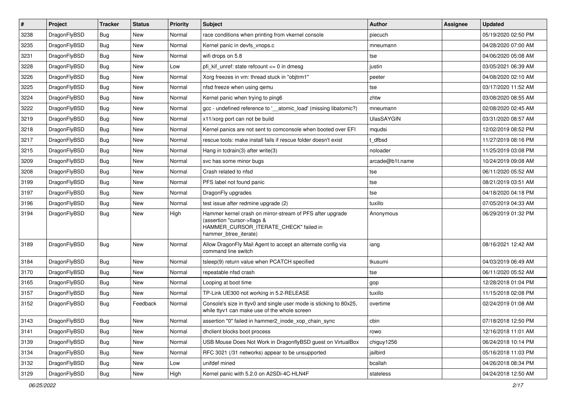| $\pmb{\#}$ | Project      | <b>Tracker</b> | <b>Status</b> | <b>Priority</b> | Subject                                                                                                                                                     | Author            | Assignee | <b>Updated</b>      |
|------------|--------------|----------------|---------------|-----------------|-------------------------------------------------------------------------------------------------------------------------------------------------------------|-------------------|----------|---------------------|
| 3238       | DragonFlyBSD | Bug            | <b>New</b>    | Normal          | race conditions when printing from vkernel console                                                                                                          | piecuch           |          | 05/19/2020 02:50 PM |
| 3235       | DragonFlyBSD | Bug            | <b>New</b>    | Normal          | Kernel panic in devfs vnops.c                                                                                                                               | mneumann          |          | 04/28/2020 07:00 AM |
| 3231       | DragonFlyBSD | <b>Bug</b>     | New           | Normal          | wifi drops on 5.8                                                                                                                                           | tse               |          | 04/06/2020 05:08 AM |
| 3228       | DragonFlyBSD | Bug            | New           | Low             | pfi kif unref: state refcount $\leq$ 0 in dmesg                                                                                                             | justin            |          | 03/05/2021 06:39 AM |
| 3226       | DragonFlyBSD | Bug            | <b>New</b>    | Normal          | Xorg freezes in vm: thread stuck in "objtrm1"                                                                                                               | peeter            |          | 04/08/2020 02:10 AM |
| 3225       | DragonFlyBSD | Bug            | New           | Normal          | nfsd freeze when using gemu                                                                                                                                 | tse               |          | 03/17/2020 11:52 AM |
| 3224       | DragonFlyBSD | Bug            | New           | Normal          | Kernel panic when trying to ping6                                                                                                                           | zhtw              |          | 03/08/2020 08:55 AM |
| 3222       | DragonFlyBSD | Bug            | New           | Normal          | gcc - undefined reference to '_atomic_load' (missing libatomic?)                                                                                            | mneumann          |          | 02/08/2020 02:45 AM |
| 3219       | DragonFlyBSD | Bug            | New           | Normal          | x11/xorg port can not be build                                                                                                                              | <b>UlasSAYGIN</b> |          | 03/31/2020 08:57 AM |
| 3218       | DragonFlyBSD | Bug            | <b>New</b>    | Normal          | Kernel panics are not sent to comconsole when booted over EFI                                                                                               | mqudsi            |          | 12/02/2019 08:52 PM |
| 3217       | DragonFlyBSD | <b>Bug</b>     | New           | Normal          | rescue tools: make install fails if rescue folder doesn't exist                                                                                             | dfbsd             |          | 11/27/2019 08:16 PM |
| 3215       | DragonFlyBSD | Bug            | <b>New</b>    | Normal          | Hang in tcdrain(3) after write(3)                                                                                                                           | noloader          |          | 11/25/2019 03:08 PM |
| 3209       | DragonFlyBSD | Bug            | New           | Normal          | svc has some minor bugs                                                                                                                                     | arcade@b1t.name   |          | 10/24/2019 09:08 AM |
| 3208       | DragonFlyBSD | Bug            | <b>New</b>    | Normal          | Crash related to nfsd                                                                                                                                       | tse               |          | 06/11/2020 05:52 AM |
| 3199       | DragonFlyBSD | Bug            | New           | Normal          | PFS label not found panic                                                                                                                                   | tse               |          | 08/21/2019 03:51 AM |
| 3197       | DragonFlyBSD | <b>Bug</b>     | New           | Normal          | DragonFly upgrades                                                                                                                                          | tse               |          | 04/18/2020 04:18 PM |
| 3196       | DragonFlyBSD | Bug            | New           | Normal          | test issue after redmine upgrade (2)                                                                                                                        | tuxillo           |          | 07/05/2019 04:33 AM |
| 3194       | DragonFlyBSD | Bug            | New           | High            | Hammer kernel crash on mirror-stream of PFS after upgrade<br>(assertion "cursor->flags &<br>HAMMER_CURSOR_ITERATE_CHECK" failed in<br>hammer_btree_iterate) | Anonymous         |          | 06/29/2019 01:32 PM |
| 3189       | DragonFlyBSD | Bug            | New           | Normal          | Allow DragonFly Mail Agent to accept an alternate config via<br>command line switch                                                                         | iang              |          | 08/16/2021 12:42 AM |
| 3184       | DragonFlyBSD | <b>Bug</b>     | <b>New</b>    | Normal          | tsleep(9) return value when PCATCH specified                                                                                                                | tkusumi           |          | 04/03/2019 06:49 AM |
| 3170       | DragonFlyBSD | Bug            | <b>New</b>    | Normal          | repeatable nfsd crash                                                                                                                                       | tse               |          | 06/11/2020 05:52 AM |
| 3165       | DragonFlyBSD | <b>Bug</b>     | <b>New</b>    | Normal          | Looping at boot time                                                                                                                                        | gop               |          | 12/28/2018 01:04 PM |
| 3157       | DragonFlyBSD | Bug            | New           | Normal          | TP-Link UE300 not working in 5.2-RELEASE                                                                                                                    | tuxillo           |          | 11/15/2018 02:08 PM |
| 3152       | DragonFlyBSD | Bug            | Feedback      | Normal          | Console's size in ttyv0 and single user mode is sticking to 80x25,<br>while ttyv1 can make use of the whole screen                                          | overtime          |          | 02/24/2019 01:08 AM |
| 3143       | DragonFlyBSD | <b>Bug</b>     | New           | Normal          | assertion "0" failed in hammer2_inode_xop_chain_sync                                                                                                        | cbin              |          | 07/18/2018 12:50 PM |
| 3141       | DragonFlyBSD | <b>Bug</b>     | New           | Normal          | dhclient blocks boot process                                                                                                                                | rowo              |          | 12/16/2018 11:01 AM |
| 3139       | DragonFlyBSD | <b>Bug</b>     | New           | Normal          | USB Mouse Does Not Work in DragonflyBSD guest on VirtualBox                                                                                                 | chiguy1256        |          | 06/24/2018 10:14 PM |
| 3134       | DragonFlyBSD | <b>Bug</b>     | New           | Normal          | RFC 3021 (/31 networks) appear to be unsupported                                                                                                            | jailbird          |          | 05/16/2018 11:03 PM |
| 3132       | DragonFlyBSD | <b>Bug</b>     | New           | Low             | unifdef mined                                                                                                                                               | bcallah           |          | 04/26/2018 08:34 PM |
| 3129       | DragonFlyBSD | Bug            | New           | High            | Kernel panic with 5.2.0 on A2SDi-4C-HLN4F                                                                                                                   | stateless         |          | 04/24/2018 12:50 AM |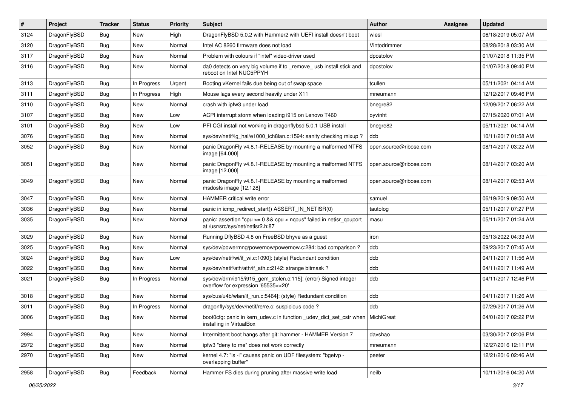| $\#$ | Project      | <b>Tracker</b> | <b>Status</b> | <b>Priority</b> | <b>Subject</b>                                                                                            | <b>Author</b>          | Assignee | <b>Updated</b>      |
|------|--------------|----------------|---------------|-----------------|-----------------------------------------------------------------------------------------------------------|------------------------|----------|---------------------|
| 3124 | DragonFlyBSD | <b>Bug</b>     | <b>New</b>    | High            | DragonFlyBSD 5.0.2 with Hammer2 with UEFI install doesn't boot                                            | wiesl                  |          | 06/18/2019 05:07 AM |
| 3120 | DragonFlyBSD | <b>Bug</b>     | New           | Normal          | Intel AC 8260 firmware does not load                                                                      | Vintodrimmer           |          | 08/28/2018 03:30 AM |
| 3117 | DragonFlyBSD | Bug            | New           | Normal          | Problem with colours if "intel" video-driver used                                                         | dpostolov              |          | 01/07/2018 11:35 PM |
| 3116 | DragonFlyBSD | Bug            | New           | Normal          | da0 detects on very big volume if to _remove_ usb install stick and<br>reboot on Intel NUC5PPYH           | dpostolov              |          | 01/07/2018 09:40 PM |
| 3113 | DragonFlyBSD | <b>Bug</b>     | In Progress   | Urgent          | Booting vKernel fails due being out of swap space                                                         | tcullen                |          | 05/11/2021 04:14 AM |
| 3111 | DragonFlyBSD | Bug            | In Progress   | High            | Mouse lags every second heavily under X11                                                                 | mneumann               |          | 12/12/2017 09:46 PM |
| 3110 | DragonFlyBSD | Bug            | New           | Normal          | crash with ipfw3 under load                                                                               | bnegre82               |          | 12/09/2017 06:22 AM |
| 3107 | DragonFlyBSD | Bug            | New           | Low             | ACPI interrupt storm when loading i915 on Lenovo T460                                                     | oyvinht                |          | 07/15/2020 07:01 AM |
| 3101 | DragonFlyBSD | <b>Bug</b>     | <b>New</b>    | Low             | PFI CGI install not working in dragonflybsd 5.0.1 USB install                                             | bnegre82               |          | 05/11/2021 04:14 AM |
| 3076 | DragonFlyBSD | Bug            | New           | Normal          | sys/dev/netif/ig hal/e1000 ich8lan.c:1594: sanity checking mixup?                                         | dcb                    |          | 10/11/2017 01:58 AM |
| 3052 | DragonFlyBSD | Bug            | New           | Normal          | panic DragonFly v4.8.1-RELEASE by mounting a malformed NTFS<br>image [64.000]                             | open.source@ribose.com |          | 08/14/2017 03:22 AM |
| 3051 | DragonFlyBSD | Bug            | New           | Normal          | panic DragonFly v4.8.1-RELEASE by mounting a malformed NTFS<br>image [12.000]                             | open.source@ribose.com |          | 08/14/2017 03:20 AM |
| 3049 | DragonFlyBSD | <b>Bug</b>     | New           | Normal          | panic DragonFly v4.8.1-RELEASE by mounting a malformed<br>msdosfs image [12.128]                          | open.source@ribose.com |          | 08/14/2017 02:53 AM |
| 3047 | DragonFlyBSD | <b>Bug</b>     | New           | Normal          | HAMMER critical write error                                                                               | samuel                 |          | 06/19/2019 09:50 AM |
| 3036 | DragonFlyBSD | Bug            | New           | Normal          | panic in icmp redirect start() ASSERT IN NETISR(0)                                                        | tautolog               |          | 05/11/2017 07:27 PM |
| 3035 | DragonFlyBSD | Bug            | New           | Normal          | panic: assertion "cpu >= 0 && cpu < ncpus" failed in netisr_cpuport<br>at /usr/src/sys/net/netisr2.h:87   | masu                   |          | 05/11/2017 01:24 AM |
| 3029 | DragonFlyBSD | <b>Bug</b>     | New           | Normal          | Running DflyBSD 4.8 on FreeBSD bhyve as a guest                                                           | iron                   |          | 05/13/2022 04:33 AM |
| 3025 | DragonFlyBSD | <b>Bug</b>     | New           | Normal          | sys/dev/powermng/powernow/powernow.c:284: bad comparison?                                                 | dcb                    |          | 09/23/2017 07:45 AM |
| 3024 | DragonFlyBSD | Bug            | New           | Low             | sys/dev/netif/wi/if_wi.c:1090]: (style) Redundant condition                                               | dcb                    |          | 04/11/2017 11:56 AM |
| 3022 | DragonFlyBSD | <b>Bug</b>     | New           | Normal          | sys/dev/netif/ath/ath/if ath.c:2142: strange bitmask?                                                     | dcb                    |          | 04/11/2017 11:49 AM |
| 3021 | DragonFlyBSD | Bug            | In Progress   | Normal          | sys/dev/drm/i915/i915_gem_stolen.c:115]: (error) Signed integer<br>overflow for expression '65535<<20'    | dcb                    |          | 04/11/2017 12:46 PM |
| 3018 | DragonFlyBSD | Bug            | New           | Normal          | sys/bus/u4b/wlan/if_run.c:5464]: (style) Redundant condition                                              | dcb                    |          | 04/11/2017 11:26 AM |
| 3011 | DragonFlyBSD | <b>Bug</b>     | In Progress   | Normal          | dragonfly/sys/dev/netif/re/re.c: suspicious code?                                                         | dcb                    |          | 07/29/2017 01:26 AM |
| 3006 | DragonFlvBSD | Bug            | New           | Normal          | boot0cfg: panic in kern udev.c in function udev dict set cstr when MichiGreat<br>installing in VirtualBox |                        |          | 04/01/2017 02:22 PM |
| 2994 | DragonFlyBSD | <b>Bug</b>     | New           | Normal          | Intermittent boot hangs after git: hammer - HAMMER Version 7                                              | davshao                |          | 03/30/2017 02:06 PM |
| 2972 | DragonFlyBSD | <b>Bug</b>     | New           | Normal          | ipfw3 "deny to me" does not work correctly                                                                | mneumann               |          | 12/27/2016 12:11 PM |
| 2970 | DragonFlyBSD | <b>Bug</b>     | New           | Normal          | kernel 4.7: "Is -I" causes panic on UDF filesystem: "bgetvp -<br>overlapping buffer"                      | peeter                 |          | 12/21/2016 02:46 AM |
| 2958 | DragonFlyBSD | <b>Bug</b>     | Feedback      | Normal          | Hammer FS dies during pruning after massive write load                                                    | neilb                  |          | 10/11/2016 04:20 AM |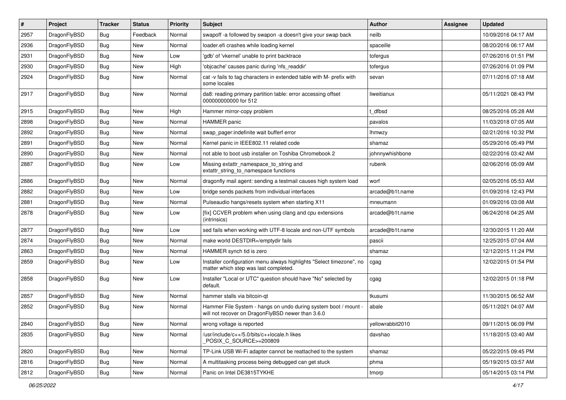| $\sharp$ | Project      | <b>Tracker</b> | <b>Status</b> | <b>Priority</b> | Subject                                                                                                              | <b>Author</b>    | Assignee | <b>Updated</b>      |
|----------|--------------|----------------|---------------|-----------------|----------------------------------------------------------------------------------------------------------------------|------------------|----------|---------------------|
| 2957     | DragonFlyBSD | <b>Bug</b>     | Feedback      | Normal          | swapoff -a followed by swapon -a doesn't give your swap back                                                         | neilb            |          | 10/09/2016 04:17 AM |
| 2936     | DragonFlyBSD | Bug            | New           | Normal          | loader.efi crashes while loading kernel                                                                              | spaceille        |          | 08/20/2016 06:17 AM |
| 2931     | DragonFlyBSD | <b>Bug</b>     | New           | Low             | 'gdb' of 'vkernel' unable to print backtrace                                                                         | tofergus         |          | 07/26/2016 01:51 PM |
| 2930     | DragonFlyBSD | <b>Bug</b>     | New           | High            | 'objcache' causes panic during 'nfs readdir'                                                                         | tofergus         |          | 07/26/2016 01:09 PM |
| 2924     | DragonFlyBSD | Bug            | New           | Normal          | cat -v fails to tag characters in extended table with M- prefix with<br>some locales                                 | sevan            |          | 07/11/2016 07:18 AM |
| 2917     | DragonFlyBSD | Bug            | New           | Normal          | da8: reading primary partition table: error accessing offset<br>000000000000 for 512                                 | liweitianux      |          | 05/11/2021 08:43 PM |
| 2915     | DragonFlyBSD | Bug            | <b>New</b>    | High            | Hammer mirror-copy problem                                                                                           | t dfbsd          |          | 08/25/2016 05:28 AM |
| 2898     | DragonFlyBSD | Bug            | New           | Normal          | <b>HAMMER</b> panic                                                                                                  | pavalos          |          | 11/03/2018 07:05 AM |
| 2892     | DragonFlyBSD | <b>Bug</b>     | <b>New</b>    | Normal          | swap pager:indefinite wait bufferf error                                                                             | <b>Ihmwzy</b>    |          | 02/21/2016 10:32 PM |
| 2891     | DragonFlyBSD | <b>Bug</b>     | <b>New</b>    | Normal          | Kernel panic in IEEE802.11 related code                                                                              | shamaz           |          | 05/29/2016 05:49 PM |
| 2890     | DragonFlyBSD | <b>Bug</b>     | New           | Normal          | not able to boot usb installer on Toshiba Chromebook 2                                                               | johnnywhishbone  |          | 02/22/2016 03:42 AM |
| 2887     | DragonFlyBSD | <b>Bug</b>     | New           | Low             | Missing extattr_namespace_to_string and<br>extattr_string_to_namespace functions                                     | rubenk           |          | 02/06/2016 05:09 AM |
| 2886     | DragonFlyBSD | Bug            | New           | Normal          | dragonfly mail agent: sending a testmail causes high system load                                                     | worf             |          | 02/05/2016 05:53 AM |
| 2882     | DragonFlyBSD | <b>Bug</b>     | New           | Low             | bridge sends packets from individual interfaces                                                                      | arcade@b1t.name  |          | 01/09/2016 12:43 PM |
| 2881     | DragonFlyBSD | Bug            | <b>New</b>    | Normal          | Pulseaudio hangs/resets system when starting X11                                                                     | mneumann         |          | 01/09/2016 03:08 AM |
| 2878     | DragonFlyBSD | <b>Bug</b>     | New           | Low             | [fix] CCVER problem when using clang and cpu extensions<br>(intrinsics)                                              | arcade@b1t.name  |          | 06/24/2016 04:25 AM |
| 2877     | DragonFlyBSD | Bug            | New           | Low             | sed fails when working with UTF-8 locale and non-UTF symbols                                                         | arcade@b1t.name  |          | 12/30/2015 11:20 AM |
| 2874     | DragonFlyBSD | <b>Bug</b>     | New           | Normal          | make world DESTDIR=/emptydir fails                                                                                   | pascii           |          | 12/25/2015 07:04 AM |
| 2863     | DragonFlyBSD | <b>Bug</b>     | <b>New</b>    | Normal          | HAMMER synch tid is zero                                                                                             | shamaz           |          | 12/12/2015 11:24 PM |
| 2859     | DragonFlyBSD | <b>Bug</b>     | <b>New</b>    | Low             | Installer configuration menu always highlights "Select timezone", no<br>matter which step was last completed.        | cgag             |          | 12/02/2015 01:54 PM |
| 2858     | DragonFlyBSD | <b>Bug</b>     | New           | Low             | Installer "Local or UTC" question should have "No" selected by<br>default.                                           | cgag             |          | 12/02/2015 01:18 PM |
| 2857     | DragonFlyBSD | Bug            | New           | Normal          | hammer stalls via bitcoin-qt                                                                                         | tkusumi          |          | 11/30/2015 06:52 AM |
| 2852     | DragonFlyBSD | Bug            | New           | Normal          | Hammer File System - hangs on undo during system boot / mount -<br>will not recover on DragonFlyBSD newer than 3.6.0 | abale            |          | 05/11/2021 04:07 AM |
| 2840     | DragonFlyBSD | <b>Bug</b>     | New           | Normal          | wrong voltage is reported                                                                                            | yellowrabbit2010 |          | 09/11/2015 06:09 PM |
| 2835     | DragonFlyBSD | Bug            | New           | Normal          | /usr/include/c++/5.0/bits/c++locale.h likes<br>POSIX_C_SOURCE>=200809                                                | davshao          |          | 11/18/2015 03:40 AM |
| 2820     | DragonFlyBSD | <b>Bug</b>     | New           | Normal          | TP-Link USB Wi-Fi adapter cannot be reattached to the system                                                         | shamaz           |          | 05/22/2015 09:45 PM |
| 2816     | DragonFlyBSD | Bug            | New           | Normal          | A multitasking process being debugged can get stuck                                                                  | phma             |          | 05/19/2015 03:57 AM |
| 2812     | DragonFlyBSD | <b>Bug</b>     | New           | Normal          | Panic on Intel DE3815TYKHE                                                                                           | tmorp            |          | 05/14/2015 03:14 PM |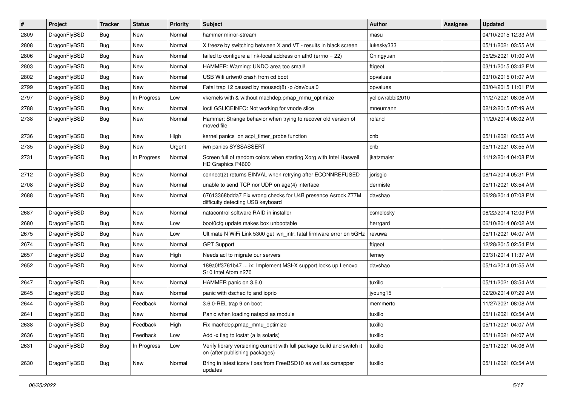| $\sharp$ | Project      | <b>Tracker</b> | <b>Status</b> | <b>Priority</b> | Subject                                                                                                   | <b>Author</b>    | Assignee | <b>Updated</b>      |
|----------|--------------|----------------|---------------|-----------------|-----------------------------------------------------------------------------------------------------------|------------------|----------|---------------------|
| 2809     | DragonFlyBSD | Bug            | New           | Normal          | hammer mirror-stream                                                                                      | masu             |          | 04/10/2015 12:33 AM |
| 2808     | DragonFlyBSD | Bug            | <b>New</b>    | Normal          | X freeze by switching between X and VT - results in black screen                                          | lukesky333       |          | 05/11/2021 03:55 AM |
| 2806     | DragonFlyBSD | <b>Bug</b>     | <b>New</b>    | Normal          | failed to configure a link-local address on ath $0$ (errno = 22)                                          | Chingyuan        |          | 05/25/2021 01:00 AM |
| 2803     | DragonFlyBSD | <b>Bug</b>     | New           | Normal          | HAMMER: Warning: UNDO area too small!                                                                     | ftigeot          |          | 03/11/2015 03:42 PM |
| 2802     | DragonFlyBSD | Bug            | <b>New</b>    | Normal          | USB Wifi urtwn0 crash from cd boot                                                                        | opvalues         |          | 03/10/2015 01:07 AM |
| 2799     | DragonFlyBSD | <b>Bug</b>     | New           | Normal          | Fatal trap 12 caused by moused(8) -p/dev/cual0                                                            | opvalues         |          | 03/04/2015 11:01 PM |
| 2797     | DragonFlyBSD | Bug            | In Progress   | Low             | vkernels with & without machdep.pmap_mmu_optimize                                                         | yellowrabbit2010 |          | 11/27/2021 08:06 AM |
| 2788     | DragonFlyBSD | <b>Bug</b>     | <b>New</b>    | Normal          | ioctl GSLICEINFO: Not working for vnode slice                                                             | mneumann         |          | 02/12/2015 07:49 AM |
| 2738     | DragonFlyBSD | <b>Bug</b>     | New           | Normal          | Hammer: Strange behavior when trying to recover old version of<br>moved file                              | roland           |          | 11/20/2014 08:02 AM |
| 2736     | DragonFlyBSD | Bug            | <b>New</b>    | High            | kernel panics on acpi_timer_probe function                                                                | cnb              |          | 05/11/2021 03:55 AM |
| 2735     | DragonFlyBSD | <b>Bug</b>     | New           | Urgent          | iwn panics SYSSASSERT                                                                                     | cnb              |          | 05/11/2021 03:55 AM |
| 2731     | DragonFlyBSD | Bug            | In Progress   | Normal          | Screen full of random colors when starting Xorg with Intel Haswell<br>HD Graphics P4600                   | ikatzmaier       |          | 11/12/2014 04:08 PM |
| 2712     | DragonFlyBSD | Bug            | <b>New</b>    | Normal          | connect(2) returns EINVAL when retrying after ECONNREFUSED                                                | jorisgio         |          | 08/14/2014 05:31 PM |
| 2708     | DragonFlyBSD | Bug            | New           | Normal          | unable to send TCP nor UDP on age(4) interface                                                            | dermiste         |          | 05/11/2021 03:54 AM |
| 2688     | DragonFlyBSD | Bug            | New           | Normal          | 67613368bdda7 Fix wrong checks for U4B presence Asrock Z77M<br>difficulty detecting USB keyboard          | davshao          |          | 06/28/2014 07:08 PM |
| 2687     | DragonFlyBSD | Bug            | <b>New</b>    | Normal          | natacontrol software RAID in installer                                                                    | csmelosky        |          | 06/22/2014 12:03 PM |
| 2680     | DragonFlyBSD | Bug            | New           | Low             | boot0cfg update makes box unbootable                                                                      | herrgard         |          | 06/10/2014 06:02 AM |
| 2675     | DragonFlyBSD | Bug            | <b>New</b>    | Low             | Ultimate N WiFi Link 5300 get iwn_intr: fatal firmware error on 5GHz                                      | revuwa           |          | 05/11/2021 04:07 AM |
| 2674     | DragonFlyBSD | Bug            | New           | Normal          | <b>GPT Support</b>                                                                                        | ftigeot          |          | 12/28/2015 02:54 PM |
| 2657     | DragonFlyBSD | Bug            | New           | High            | Needs acl to migrate our servers                                                                          | ferney           |          | 03/31/2014 11:37 AM |
| 2652     | DragonFlyBSD | Bug            | <b>New</b>    | Normal          | 189a0ff3761b47  ix: Implement MSI-X support locks up Lenovo<br>S10 Intel Atom n270                        | davshao          |          | 05/14/2014 01:55 AM |
| 2647     | DragonFlyBSD | Bug            | New           | Normal          | HAMMER panic on 3.6.0                                                                                     | tuxillo          |          | 05/11/2021 03:54 AM |
| 2645     | DragonFlyBSD | Bug            | <b>New</b>    | Normal          | panic with dsched fq and ioprio                                                                           | jyoung15         |          | 02/20/2014 07:29 AM |
| 2644     | DragonFlyBSD | Bug            | Feedback      | Normal          | 3.6.0-REL trap 9 on boot                                                                                  | memmerto         |          | 11/27/2021 08:08 AM |
| 2641     | DragonFlyBSD | Bug            | New           | Normal          | Panic when loading natapci as module                                                                      | tuxillo          |          | 05/11/2021 03:54 AM |
| 2638     | DragonFlyBSD | <b>Bug</b>     | Feedback      | High            | Fix machdep.pmap_mmu_optimize                                                                             | tuxillo          |          | 05/11/2021 04:07 AM |
| 2636     | DragonFlyBSD | <b>Bug</b>     | Feedback      | Low             | Add -x flag to iostat (a la solaris)                                                                      | tuxillo          |          | 05/11/2021 04:07 AM |
| 2631     | DragonFlyBSD | <b>Bug</b>     | In Progress   | Low             | Verify library versioning current with full package build and switch it<br>on (after publishing packages) | tuxillo          |          | 05/11/2021 04:06 AM |
| 2630     | DragonFlyBSD | <b>Bug</b>     | New           | Normal          | Bring in latest iconv fixes from FreeBSD10 as well as csmapper<br>updates                                 | tuxillo          |          | 05/11/2021 03:54 AM |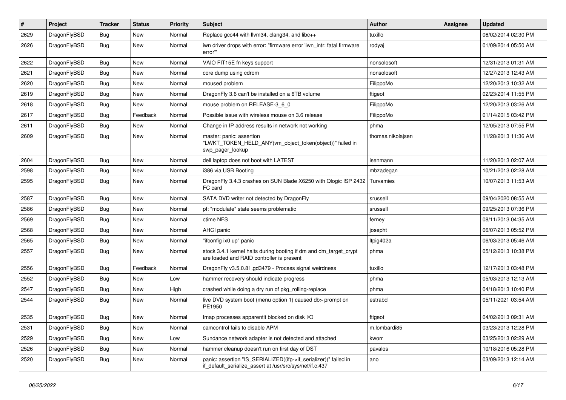| $\sharp$ | Project      | <b>Tracker</b> | <b>Status</b> | <b>Priority</b> | Subject                                                                                                                      | <b>Author</b>     | Assignee | <b>Updated</b>      |
|----------|--------------|----------------|---------------|-----------------|------------------------------------------------------------------------------------------------------------------------------|-------------------|----------|---------------------|
| 2629     | DragonFlyBSD | Bug            | <b>New</b>    | Normal          | Replace gcc44 with llvm34, clang34, and libc++                                                                               | tuxillo           |          | 06/02/2014 02:30 PM |
| 2626     | DragonFlyBSD | <b>Bug</b>     | New           | Normal          | iwn driver drops with error: "firmware error 'iwn_intr: fatal firmware<br>error""                                            | rodyaj            |          | 01/09/2014 05:50 AM |
| 2622     | DragonFlyBSD | Bug            | <b>New</b>    | Normal          | VAIO FIT15E fn keys support                                                                                                  | nonsolosoft       |          | 12/31/2013 01:31 AM |
| 2621     | DragonFlyBSD | Bug            | <b>New</b>    | Normal          | core dump using cdrom                                                                                                        | nonsolosoft       |          | 12/27/2013 12:43 AM |
| 2620     | DragonFlyBSD | Bug            | <b>New</b>    | Normal          | moused problem                                                                                                               | FilippoMo         |          | 12/20/2013 10:32 AM |
| 2619     | DragonFlyBSD | Bug            | <b>New</b>    | Normal          | DragonFly 3.6 can't be installed on a 6TB volume                                                                             | ftigeot           |          | 02/23/2014 11:55 PM |
| 2618     | DragonFlyBSD | <b>Bug</b>     | <b>New</b>    | Normal          | mouse problem on RELEASE-3_6_0                                                                                               | FilippoMo         |          | 12/20/2013 03:26 AM |
| 2617     | DragonFlyBSD | <b>Bug</b>     | Feedback      | Normal          | Possible issue with wireless mouse on 3.6 release                                                                            | FilippoMo         |          | 01/14/2015 03:42 PM |
| 2611     | DragonFlyBSD | Bug            | New           | Normal          | Change in IP address results in network not working                                                                          | phma              |          | 12/05/2013 07:55 PM |
| 2609     | DragonFlyBSD | Bug            | New           | Normal          | master: panic: assertion<br>"LWKT_TOKEN_HELD_ANY(vm_object_token(object))" failed in<br>swp pager lookup                     | thomas.nikolajsen |          | 11/28/2013 11:36 AM |
| 2604     | DragonFlyBSD | Bug            | <b>New</b>    | Normal          | dell laptop does not boot with LATEST                                                                                        | isenmann          |          | 11/20/2013 02:07 AM |
| 2598     | DragonFlyBSD | Bug            | <b>New</b>    | Normal          | i386 via USB Booting                                                                                                         | mbzadegan         |          | 10/21/2013 02:28 AM |
| 2595     | DragonFlyBSD | Bug            | <b>New</b>    | Normal          | DragonFly 3.4.3 crashes on SUN Blade X6250 with Qlogic ISP 2432<br>FC card                                                   | Turvamies         |          | 10/07/2013 11:53 AM |
| 2587     | DragonFlyBSD | <b>Bug</b>     | <b>New</b>    | Normal          | SATA DVD writer not detected by DragonFly                                                                                    | srussell          |          | 09/04/2020 08:55 AM |
| 2586     | DragonFlyBSD | <b>Bug</b>     | <b>New</b>    | Normal          | pf: "modulate" state seems problematic                                                                                       | srussell          |          | 09/25/2013 07:36 PM |
| 2569     | DragonFlyBSD | Bug            | <b>New</b>    | Normal          | ctime NFS                                                                                                                    | ferney            |          | 08/11/2013 04:35 AM |
| 2568     | DragonFlyBSD | <b>Bug</b>     | <b>New</b>    | Normal          | <b>AHCI</b> panic                                                                                                            | josepht           |          | 06/07/2013 05:52 PM |
| 2565     | DragonFlyBSD | Bug            | <b>New</b>    | Normal          | "ifconfig ix0 up" panic                                                                                                      | ltpig402a         |          | 06/03/2013 05:46 AM |
| 2557     | DragonFlyBSD | Bug            | New           | Normal          | stock 3.4.1 kernel halts during booting if dm and dm_target_crypt<br>are loaded and RAID controller is present               | phma              |          | 05/12/2013 10:38 PM |
| 2556     | DragonFlyBSD | <b>Bug</b>     | Feedback      | Normal          | DragonFly v3.5.0.81.gd3479 - Process signal weirdness                                                                        | tuxillo           |          | 12/17/2013 03:48 PM |
| 2552     | DragonFlyBSD | Bug            | <b>New</b>    | Low             | hammer recovery should indicate progress                                                                                     | phma              |          | 05/03/2013 12:13 AM |
| 2547     | DragonFlyBSD | <b>Bug</b>     | <b>New</b>    | High            | crashed while doing a dry run of pkg_rolling-replace                                                                         | phma              |          | 04/18/2013 10:40 PM |
| 2544     | DragonFlyBSD | Bug            | New           | Normal          | live DVD system boot (menu option 1) caused db> prompt on<br>PE1950                                                          | estrabd           |          | 05/11/2021 03:54 AM |
| 2535     | DragonFlyBSD | Bug            | <b>New</b>    | Normal          | Imap processes apparentit blocked on disk I/O                                                                                | ftigeot           |          | 04/02/2013 09:31 AM |
| 2531     | DragonFlyBSD | <b>Bug</b>     | New           | Normal          | camcontrol fails to disable APM                                                                                              | m.lombardi85      |          | 03/23/2013 12:28 PM |
| 2529     | DragonFlyBSD | <b>Bug</b>     | New           | Low             | Sundance network adapter is not detected and attached                                                                        | kworr             |          | 03/25/2013 02:29 AM |
| 2526     | DragonFlyBSD | <b>Bug</b>     | New           | Normal          | hammer cleanup doesn't run on first day of DST                                                                               | pavalos           |          | 10/18/2016 05:28 PM |
| 2520     | DragonFlyBSD | Bug            | New           | Normal          | panic: assertion "IS_SERIALIZED((ifp->if_serializer))" failed in<br>if_default_serialize_assert at /usr/src/sys/net/if.c:437 | ano               |          | 03/09/2013 12:14 AM |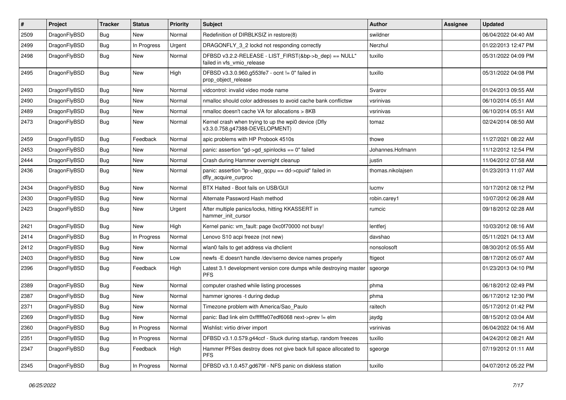| #    | Project      | <b>Tracker</b> | <b>Status</b> | <b>Priority</b> | Subject                                                                                | <b>Author</b>     | Assignee | Updated             |
|------|--------------|----------------|---------------|-----------------|----------------------------------------------------------------------------------------|-------------------|----------|---------------------|
| 2509 | DragonFlyBSD | Bug            | <b>New</b>    | Normal          | Redefinition of DIRBLKSIZ in restore(8)                                                | swildner          |          | 06/04/2022 04:40 AM |
| 2499 | DragonFlyBSD | <b>Bug</b>     | In Progress   | Urgent          | DRAGONFLY_3_2 lockd not responding correctly                                           | Nerzhul           |          | 01/22/2013 12:47 PM |
| 2498 | DragonFlyBSD | Bug            | New           | Normal          | DFBSD v3.2.2-RELEASE - LIST_FIRST(&bp->b_dep) == NULL"<br>failed in vfs_vmio_release   | tuxillo           |          | 05/31/2022 04:09 PM |
| 2495 | DragonFlyBSD | <b>Bug</b>     | New           | High            | DFBSD v3.3.0.960.g553fe7 - ocnt != 0" failed in<br>prop_object_release                 | tuxillo           |          | 05/31/2022 04:08 PM |
| 2493 | DragonFlyBSD | Bug            | <b>New</b>    | Normal          | vidcontrol: invalid video mode name                                                    | Svarov            |          | 01/24/2013 09:55 AM |
| 2490 | DragonFlyBSD | Bug            | New           | Normal          | nmalloc should color addresses to avoid cache bank conflictsw                          | vsrinivas         |          | 06/10/2014 05:51 AM |
| 2489 | DragonFlyBSD | Bug            | New           | Normal          | nmalloc doesn't cache VA for allocations > 8KB                                         | vsrinivas         |          | 06/10/2014 05:51 AM |
| 2473 | DragonFlyBSD | <b>Bug</b>     | New           | Normal          | Kernel crash when trying to up the wpi0 device (Dfly<br>v3.3.0.758.g47388-DEVELOPMENT) | tomaz             |          | 02/24/2014 08:50 AM |
| 2459 | DragonFlyBSD | Bug            | Feedback      | Normal          | apic problems with HP Probook 4510s                                                    | thowe             |          | 11/27/2021 08:22 AM |
| 2453 | DragonFlyBSD | Bug            | <b>New</b>    | Normal          | panic: assertion "gd->gd_spinlocks == 0" failed                                        | Johannes.Hofmann  |          | 11/12/2012 12:54 PM |
| 2444 | DragonFlyBSD | Bug            | <b>New</b>    | Normal          | Crash during Hammer overnight cleanup                                                  | justin            |          | 11/04/2012 07:58 AM |
| 2436 | DragonFlyBSD | Bug            | New           | Normal          | panic: assertion "lp->lwp_qcpu == dd->cpuid" failed in<br>dfly_acquire_curproc         | thomas.nikolajsen |          | 01/23/2013 11:07 AM |
| 2434 | DragonFlyBSD | Bug            | <b>New</b>    | Normal          | BTX Halted - Boot fails on USB/GUI                                                     | lucmv             |          | 10/17/2012 08:12 PM |
| 2430 | DragonFlyBSD | Bug            | <b>New</b>    | Normal          | Alternate Password Hash method                                                         | robin.carey1      |          | 10/07/2012 06:28 AM |
| 2423 | DragonFlyBSD | Bug            | New           | Urgent          | After multiple panics/locks, hitting KKASSERT in<br>hammer init cursor                 | rumcic            |          | 09/18/2012 02:28 AM |
| 2421 | DragonFlyBSD | Bug            | <b>New</b>    | High            | Kernel panic: vm_fault: page 0xc0f70000 not busy!                                      | lentferj          |          | 10/03/2012 08:16 AM |
| 2414 | DragonFlyBSD | Bug            | In Progress   | Normal          | Lenovo S10 acpi freeze (not new)                                                       | davshao           |          | 05/11/2021 04:13 AM |
| 2412 | DragonFlyBSD | Bug            | <b>New</b>    | Normal          | wlan0 fails to get address via dhclient                                                | nonsolosoft       |          | 08/30/2012 05:55 AM |
| 2403 | DragonFlyBSD | Bug            | New           | Low             | newfs -E doesn't handle /dev/serno device names properly                               | ftigeot           |          | 08/17/2012 05:07 AM |
| 2396 | DragonFlyBSD | <b>Bug</b>     | Feedback      | High            | Latest 3.1 development version core dumps while destroying master<br><b>PFS</b>        | sgeorge           |          | 01/23/2013 04:10 PM |
| 2389 | DragonFlyBSD | Bug            | <b>New</b>    | Normal          | computer crashed while listing processes                                               | phma              |          | 06/18/2012 02:49 PM |
| 2387 | DragonFlyBSD | <b>Bug</b>     | New           | Normal          | hammer ignores -t during dedup                                                         | phma              |          | 06/17/2012 12:30 PM |
| 2371 | DragonFlyBSD | <b>Bug</b>     | New           | Normal          | Timezone problem with America/Sao_Paulo                                                | raitech           |          | 05/17/2012 01:42 PM |
| 2369 | DragonFlyBSD | Bug            | <b>New</b>    | Normal          | panic: Bad link elm 0xffffffe07edf6068 next->prev != elm                               | jaydg             |          | 08/15/2012 03:04 AM |
| 2360 | DragonFlyBSD | <b>Bug</b>     | In Progress   | Normal          | Wishlist: virtio driver import                                                         | vsrinivas         |          | 06/04/2022 04:16 AM |
| 2351 | DragonFlyBSD | <b>Bug</b>     | In Progress   | Normal          | DFBSD v3.1.0.579.g44ccf - Stuck during startup, random freezes                         | tuxillo           |          | 04/24/2012 08:21 AM |
| 2347 | DragonFlyBSD | <b>Bug</b>     | Feedback      | High            | Hammer PFSes destroy does not give back full space allocated to<br><b>PFS</b>          | sgeorge           |          | 07/19/2012 01:11 AM |
| 2345 | DragonFlyBSD | <b>Bug</b>     | In Progress   | Normal          | DFBSD v3.1.0.457.gd679f - NFS panic on diskless station                                | tuxillo           |          | 04/07/2012 05:22 PM |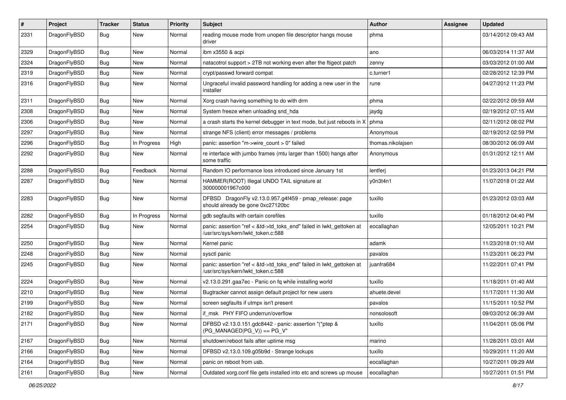| $\pmb{\#}$ | Project      | <b>Tracker</b> | <b>Status</b> | <b>Priority</b> | Subject                                                                                                    | <b>Author</b>     | <b>Assignee</b> | <b>Updated</b>      |
|------------|--------------|----------------|---------------|-----------------|------------------------------------------------------------------------------------------------------------|-------------------|-----------------|---------------------|
| 2331       | DragonFlyBSD | Bug            | New           | Normal          | reading mouse mode from unopen file descriptor hangs mouse<br>driver                                       | phma              |                 | 03/14/2012 09:43 AM |
| 2329       | DragonFlyBSD | <b>Bug</b>     | <b>New</b>    | Normal          | ibm x3550 & acpi                                                                                           | ano               |                 | 06/03/2014 11:37 AM |
| 2324       | DragonFlyBSD | Bug            | <b>New</b>    | Normal          | natacotrol support > 2TB not working even after the ftigeot patch                                          | zenny             |                 | 03/03/2012 01:00 AM |
| 2319       | DragonFlyBSD | Bug            | <b>New</b>    | Normal          | crypt/passwd forward compat                                                                                | c.turner1         |                 | 02/28/2012 12:39 PM |
| 2316       | DragonFlyBSD | Bug            | New           | Normal          | Ungraceful invalid password handling for adding a new user in the<br>installer                             | rune              |                 | 04/27/2012 11:23 PM |
| 2311       | DragonFlyBSD | <b>Bug</b>     | <b>New</b>    | Normal          | Xorg crash having something to do with drm                                                                 | phma              |                 | 02/22/2012 09:59 AM |
| 2308       | DragonFlyBSD | Bug            | New           | Normal          | System freeze when unloading snd_hda                                                                       | jaydg             |                 | 02/19/2012 07:15 AM |
| 2306       | DragonFlyBSD | Bug            | New           | Normal          | a crash starts the kernel debugger in text mode, but just reboots in X                                     | phma              |                 | 02/11/2012 08:02 PM |
| 2297       | DragonFlyBSD | Bug            | New           | Normal          | strange NFS (client) error messages / problems                                                             | Anonymous         |                 | 02/19/2012 02:59 PM |
| 2296       | DragonFlyBSD | Bug            | In Progress   | High            | panic: assertion "m->wire_count > 0" failed                                                                | thomas.nikolajsen |                 | 08/30/2012 06:09 AM |
| 2292       | DragonFlyBSD | Bug            | New           | Normal          | re interface with jumbo frames (mtu larger than 1500) hangs after<br>some traffic                          | Anonymous         |                 | 01/31/2012 12:11 AM |
| 2288       | DragonFlyBSD | Bug            | Feedback      | Normal          | Random IO performance loss introduced since January 1st                                                    | lentferj          |                 | 01/23/2013 04:21 PM |
| 2287       | DragonFlyBSD | Bug            | <b>New</b>    | Normal          | HAMMER(ROOT) Illegal UNDO TAIL signature at<br>300000001967c000                                            | y0n3t4n1          |                 | 11/07/2018 01:22 AM |
| 2283       | DragonFlyBSD | Bug            | New           | Normal          | DFBSD DragonFly v2.13.0.957.g4f459 - pmap_release: page<br>should already be gone 0xc27120bc               | tuxillo           |                 | 01/23/2012 03:03 AM |
| 2282       | DragonFlyBSD | Bug            | In Progress   | Normal          | gdb segfaults with certain corefiles                                                                       | tuxillo           |                 | 01/18/2012 04:40 PM |
| 2254       | DragonFlyBSD | Bug            | <b>New</b>    | Normal          | panic: assertion "ref < &td->td_toks_end" failed in lwkt_gettoken at<br>/usr/src/sys/kern/lwkt_token.c:588 | eocallaghan       |                 | 12/05/2011 10:21 PM |
| 2250       | DragonFlyBSD | Bug            | <b>New</b>    | Normal          | Kernel panic                                                                                               | adamk             |                 | 11/23/2018 01:10 AM |
| 2248       | DragonFlyBSD | Bug            | <b>New</b>    | Normal          | sysctl panic                                                                                               | pavalos           |                 | 11/23/2011 06:23 PM |
| 2245       | DragonFlyBSD | Bug            | <b>New</b>    | Normal          | panic: assertion "ref < &td->td_toks_end" failed in lwkt_gettoken at<br>/usr/src/sys/kern/lwkt_token.c:588 | juanfra684        |                 | 11/22/2011 07:41 PM |
| 2224       | DragonFlyBSD | <b>Bug</b>     | <b>New</b>    | Normal          | v2.13.0.291.gaa7ec - Panic on fq while installing world                                                    | tuxillo           |                 | 11/18/2011 01:40 AM |
| 2210       | DragonFlyBSD | Bug            | <b>New</b>    | Normal          | Bugtracker cannot assign default project for new users                                                     | ahuete.devel      |                 | 11/17/2011 11:30 AM |
| 2199       | DragonFlyBSD | Bug            | New           | Normal          | screen segfaults if utmpx isn't present                                                                    | pavalos           |                 | 11/15/2011 10:52 PM |
| 2182       | DragonFlyBSD | <b>Bug</b>     | New           | Normal          | if msk PHY FIFO underrun/overflow                                                                          | nonsolosoft       |                 | 09/03/2012 06:39 AM |
| 2171       | DragonFlyBSD | <b>Bug</b>     | New           | Normal          | DFBSD v2.13.0.151.gdc8442 - panic: assertion "(*ptep &<br>$(PG_MANAGED PG_V)) == PG_V"$                    | tuxillo           |                 | 11/04/2011 05:06 PM |
| 2167       | DragonFlyBSD | <b>Bug</b>     | New           | Normal          | shutdown/reboot fails after uptime msg                                                                     | marino            |                 | 11/28/2011 03:01 AM |
| 2166       | DragonFlyBSD | Bug            | New           | Normal          | DFBSD v2.13.0.109.g05b9d - Strange lockups                                                                 | tuxillo           |                 | 10/29/2011 11:20 AM |
| 2164       | DragonFlyBSD | Bug            | New           | Normal          | panic on reboot from usb.                                                                                  | eocallaghan       |                 | 10/27/2011 09:29 AM |
| 2161       | DragonFlyBSD | Bug            | New           | Normal          | Outdated xorg.conf file gets installed into etc and screws up mouse                                        | eocallaghan       |                 | 10/27/2011 01:51 PM |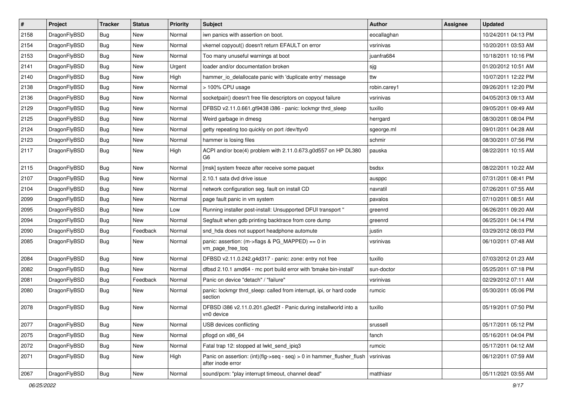| $\vert$ # | Project      | <b>Tracker</b> | <b>Status</b> | <b>Priority</b> | Subject                                                                                    | <b>Author</b> | Assignee | <b>Updated</b>      |
|-----------|--------------|----------------|---------------|-----------------|--------------------------------------------------------------------------------------------|---------------|----------|---------------------|
| 2158      | DragonFlyBSD | Bug            | <b>New</b>    | Normal          | iwn panics with assertion on boot.                                                         | eocallaghan   |          | 10/24/2011 04:13 PM |
| 2154      | DragonFlyBSD | Bug            | <b>New</b>    | Normal          | vkernel copyout() doesn't return EFAULT on error                                           | vsrinivas     |          | 10/20/2011 03:53 AM |
| 2153      | DragonFlyBSD | Bug            | New           | Normal          | Too many unuseful warnings at boot                                                         | juanfra684    |          | 10/18/2011 10:16 PM |
| 2141      | DragonFlyBSD | Bug            | <b>New</b>    | Urgent          | loader and/or documentation broken                                                         | sjg           |          | 01/20/2012 10:51 AM |
| 2140      | DragonFlyBSD | Bug            | <b>New</b>    | High            | hammer_io_delallocate panic with 'duplicate entry' message                                 | ttw           |          | 10/07/2011 12:22 PM |
| 2138      | DragonFlyBSD | Bug            | New           | Normal          | > 100% CPU usage                                                                           | robin.carey1  |          | 09/26/2011 12:20 PM |
| 2136      | DragonFlyBSD | Bug            | New           | Normal          | socketpair() doesn't free file descriptors on copyout failure                              | vsrinivas     |          | 04/05/2013 09:13 AM |
| 2129      | DragonFlyBSD | Bug            | <b>New</b>    | Normal          | DFBSD v2.11.0.661.gf9438 i386 - panic: lockmgr thrd sleep                                  | tuxillo       |          | 09/05/2011 09:49 AM |
| 2125      | DragonFlyBSD | Bug            | <b>New</b>    | Normal          | Weird garbage in dmesg                                                                     | herrgard      |          | 08/30/2011 08:04 PM |
| 2124      | DragonFlyBSD | Bug            | <b>New</b>    | Normal          | getty repeating too quickly on port /dev/ttyv0                                             | sgeorge.ml    |          | 09/01/2011 04:28 AM |
| 2123      | DragonFlyBSD | Bug            | New           | Normal          | hammer is losing files                                                                     | schmir        |          | 08/30/2011 07:56 PM |
| 2117      | DragonFlyBSD | Bug            | <b>New</b>    | High            | ACPI and/or bce(4) problem with 2.11.0.673.g0d557 on HP DL380<br>G <sub>6</sub>            | pauska        |          | 08/22/2011 10:15 AM |
| 2115      | DragonFlyBSD | Bug            | <b>New</b>    | Normal          | [msk] system freeze after receive some paquet                                              | bsdsx         |          | 08/22/2011 10:22 AM |
| 2107      | DragonFlyBSD | Bug            | <b>New</b>    | Normal          | 2.10.1 sata dvd drive issue                                                                | ausppc        |          | 07/31/2011 08:41 PM |
| 2104      | DragonFlyBSD | Bug            | New           | Normal          | network configuration seg. fault on install CD                                             | navratil      |          | 07/26/2011 07:55 AM |
| 2099      | DragonFlyBSD | Bug            | New           | Normal          | page fault panic in vm system                                                              | pavalos       |          | 07/10/2011 08:51 AM |
| 2095      | DragonFlyBSD | Bug            | <b>New</b>    | Low             | Running installer post-install: Unsupported DFUI transport "                               | greenrd       |          | 06/26/2011 09:20 AM |
| 2094      | DragonFlyBSD | Bug            | New           | Normal          | Segfault when gdb printing backtrace from core dump                                        | greenrd       |          | 06/25/2011 04:14 PM |
| 2090      | DragonFlyBSD | Bug            | Feedback      | Normal          | snd_hda does not support headphone automute                                                | justin        |          | 03/29/2012 08:03 PM |
| 2085      | DragonFlyBSD | Bug            | New           | Normal          | panic: assertion: (m->flags & PG_MAPPED) == 0 in<br>vm_page_free_toq                       | vsrinivas     |          | 06/10/2011 07:48 AM |
| 2084      | DragonFlyBSD | Bug            | <b>New</b>    | Normal          | DFBSD v2.11.0.242.g4d317 - panic: zone: entry not free                                     | tuxillo       |          | 07/03/2012 01:23 AM |
| 2082      | DragonFlyBSD | Bug            | New           | Normal          | dfbsd 2.10.1 amd64 - mc port build error with 'bmake bin-install'                          | sun-doctor    |          | 05/25/2011 07:18 PM |
| 2081      | DragonFlyBSD | Bug            | Feedback      | Normal          | Panic on device "detach" / "failure"                                                       | vsrinivas     |          | 02/29/2012 07:11 AM |
| 2080      | DragonFlyBSD | Bug            | New           | Normal          | panic: lockmgr thrd_sleep: called from interrupt, ipi, or hard code<br>section             | rumcic        |          | 05/30/2011 05:06 PM |
| 2078      | DragonFlyBSD | Bug            | New           | Normal          | DFBSD i386 v2.11.0.201.g3ed2f - Panic during installworld into a<br>vn0 device             | tuxillo       |          | 05/19/2011 07:50 PM |
| 2077      | DragonFlyBSD | <b>Bug</b>     | New           | Normal          | USB devices conflicting                                                                    | srussell      |          | 05/17/2011 05:12 PM |
| 2075      | DragonFlyBSD | Bug            | New           | Normal          | pflogd on x86_64                                                                           | fanch         |          | 05/16/2011 04:04 PM |
| 2072      | DragonFlyBSD | Bug            | New           | Normal          | Fatal trap 12: stopped at lwkt_send_ipiq3                                                  | rumcic        |          | 05/17/2011 04:12 AM |
| 2071      | DragonFlyBSD | Bug            | New           | High            | Panic on assertion: (int)(flg->seq - seq) > 0 in hammer_flusher_flush<br>after inode error | vsrinivas     |          | 06/12/2011 07:59 AM |
| 2067      | DragonFlyBSD | <b>Bug</b>     | New           | Normal          | sound/pcm: "play interrupt timeout, channel dead"                                          | matthiasr     |          | 05/11/2021 03:55 AM |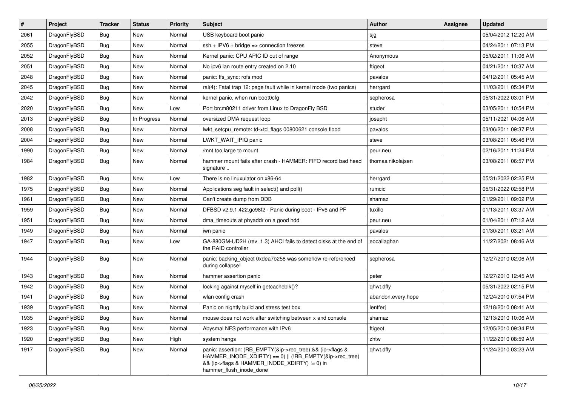| $\sharp$ | Project      | <b>Tracker</b> | <b>Status</b> | <b>Priority</b> | Subject                                                                                                                                                                                           | Author             | Assignee | <b>Updated</b>      |
|----------|--------------|----------------|---------------|-----------------|---------------------------------------------------------------------------------------------------------------------------------------------------------------------------------------------------|--------------------|----------|---------------------|
| 2061     | DragonFlyBSD | <b>Bug</b>     | <b>New</b>    | Normal          | USB keyboard boot panic                                                                                                                                                                           | sjg                |          | 05/04/2012 12:20 AM |
| 2055     | DragonFlyBSD | Bug            | <b>New</b>    | Normal          | $ssh + IPV6 + bridge \Rightarrow connection freezes$                                                                                                                                              | steve              |          | 04/24/2011 07:13 PM |
| 2052     | DragonFlyBSD | <b>Bug</b>     | New           | Normal          | Kernel panic: CPU APIC ID out of range                                                                                                                                                            | Anonymous          |          | 05/02/2011 11:06 AM |
| 2051     | DragonFlyBSD | <b>Bug</b>     | New           | Normal          | No ipv6 lan route entry created on 2.10                                                                                                                                                           | ftigeot            |          | 04/21/2011 10:37 AM |
| 2048     | DragonFlyBSD | Bug            | <b>New</b>    | Normal          | panic: ffs_sync: rofs mod                                                                                                                                                                         | pavalos            |          | 04/12/2011 05:45 AM |
| 2045     | DragonFlyBSD | <b>Bug</b>     | <b>New</b>    | Normal          | ral(4): Fatal trap 12: page fault while in kernel mode (two panics)                                                                                                                               | herrgard           |          | 11/03/2011 05:34 PM |
| 2042     | DragonFlyBSD | <b>Bug</b>     | New           | Normal          | kernel panic, when run boot0cfg                                                                                                                                                                   | sepherosa          |          | 05/31/2022 03:01 PM |
| 2020     | DragonFlyBSD | <b>Bug</b>     | New           | Low             | Port brcm80211 driver from Linux to DragonFly BSD                                                                                                                                                 | studer             |          | 03/05/2011 10:54 PM |
| 2013     | DragonFlyBSD | Bug            | In Progress   | Normal          | oversized DMA request loop                                                                                                                                                                        | josepht            |          | 05/11/2021 04:06 AM |
| 2008     | DragonFlyBSD | Bug            | <b>New</b>    | Normal          | lwkt_setcpu_remote: td->td_flags 00800621 console flood                                                                                                                                           | pavalos            |          | 03/06/2011 09:37 PM |
| 2004     | DragonFlyBSD | Bug            | New           | Normal          | LWKT WAIT IPIQ panic                                                                                                                                                                              | steve              |          | 03/08/2011 05:46 PM |
| 1990     | DragonFlyBSD | Bug            | <b>New</b>    | Normal          | /mnt too large to mount                                                                                                                                                                           | peur.neu           |          | 02/16/2011 11:24 PM |
| 1984     | DragonFlyBSD | Bug            | <b>New</b>    | Normal          | hammer mount fails after crash - HAMMER: FIFO record bad head<br>signature                                                                                                                        | thomas.nikolajsen  |          | 03/08/2011 06:57 PM |
| 1982     | DragonFlyBSD | Bug            | New           | Low             | There is no linuxulator on x86-64                                                                                                                                                                 | herrgard           |          | 05/31/2022 02:25 PM |
| 1975     | DragonFlyBSD | Bug            | <b>New</b>    | Normal          | Applications seg fault in select() and poll()                                                                                                                                                     | rumcic             |          | 05/31/2022 02:58 PM |
| 1961     | DragonFlyBSD | Bug            | <b>New</b>    | Normal          | Can't create dump from DDB                                                                                                                                                                        | shamaz             |          | 01/29/2011 09:02 PM |
| 1959     | DragonFlyBSD | Bug            | New           | Normal          | DFBSD v2.9.1.422.gc98f2 - Panic during boot - IPv6 and PF                                                                                                                                         | tuxillo            |          | 01/13/2011 03:37 AM |
| 1951     | DragonFlyBSD | Bug            | New           | Normal          | dma_timeouts at phyaddr on a good hdd                                                                                                                                                             | peur.neu           |          | 01/04/2011 07:12 AM |
| 1949     | DragonFlyBSD | Bug            | New           | Normal          | iwn panic                                                                                                                                                                                         | pavalos            |          | 01/30/2011 03:21 AM |
| 1947     | DragonFlyBSD | Bug            | New           | Low             | GA-880GM-UD2H (rev. 1.3) AHCI fails to detect disks at the end of<br>the RAID controller                                                                                                          | eocallaghan        |          | 11/27/2021 08:46 AM |
| 1944     | DragonFlyBSD | <b>Bug</b>     | New           | Normal          | panic: backing_object 0xdea7b258 was somehow re-referenced<br>during collapse!                                                                                                                    | sepherosa          |          | 12/27/2010 02:06 AM |
| 1943     | DragonFlyBSD | Bug            | <b>New</b>    | Normal          | hammer assertion panic                                                                                                                                                                            | peter              |          | 12/27/2010 12:45 AM |
| 1942     | DragonFlyBSD | Bug            | <b>New</b>    | Normal          | locking against myself in getcacheblk()?                                                                                                                                                          | qhwt.dfly          |          | 05/31/2022 02:15 PM |
| 1941     | DragonFlyBSD | Bug            | <b>New</b>    | Normal          | wlan config crash                                                                                                                                                                                 | abandon.every.hope |          | 12/24/2010 07:54 PM |
| 1939     | DragonFlyBSD | Bug            | New           | Normal          | Panic on nightly build and stress test box                                                                                                                                                        | lentferj           |          | 12/18/2010 08:41 AM |
| 1935     | DragonFlyBSD | Bug            | <b>New</b>    | Normal          | mouse does not work after switching between x and console                                                                                                                                         | shamaz             |          | 12/13/2010 10:06 AM |
| 1923     | DragonFlyBSD | Bug            | <b>New</b>    | Normal          | Abysmal NFS performance with IPv6                                                                                                                                                                 | ftigeot            |          | 12/05/2010 09:34 PM |
| 1920     | DragonFlyBSD | <b>Bug</b>     | New           | High            | system hangs                                                                                                                                                                                      | zhtw               |          | 11/22/2010 08:59 AM |
| 1917     | DragonFlyBSD | Bug            | <b>New</b>    | Normal          | panic: assertion: (RB_EMPTY(&ip->rec_tree) && (ip->flags &<br>HAMMER_INODE_XDIRTY) == 0)    (!RB_EMPTY(&ip->rec_tree)<br>&& (ip->flags & HAMMER INODE XDIRTY) != 0) in<br>hammer flush inode done | qhwt.dfly          |          | 11/24/2010 03:23 AM |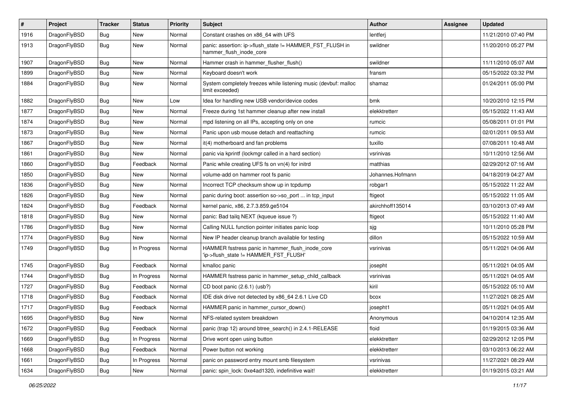| $\sharp$ | Project      | <b>Tracker</b> | <b>Status</b> | <b>Priority</b> | <b>Subject</b>                                                                            | Author           | Assignee | <b>Updated</b>      |
|----------|--------------|----------------|---------------|-----------------|-------------------------------------------------------------------------------------------|------------------|----------|---------------------|
| 1916     | DragonFlyBSD | Bug            | <b>New</b>    | Normal          | Constant crashes on x86_64 with UFS                                                       | lentferj         |          | 11/21/2010 07:40 PM |
| 1913     | DragonFlyBSD | <b>Bug</b>     | <b>New</b>    | Normal          | panic: assertion: ip->flush_state != HAMMER_FST_FLUSH in<br>hammer flush inode core       | swildner         |          | 11/20/2010 05:27 PM |
| 1907     | DragonFlyBSD | Bug            | <b>New</b>    | Normal          | Hammer crash in hammer_flusher_flush()                                                    | swildner         |          | 11/11/2010 05:07 AM |
| 1899     | DragonFlyBSD | Bug            | New           | Normal          | Keyboard doesn't work                                                                     | fransm           |          | 05/15/2022 03:32 PM |
| 1884     | DragonFlyBSD | Bug            | <b>New</b>    | Normal          | System completely freezes while listening music (devbuf: malloc<br>limit exceeded)        | shamaz           |          | 01/24/2011 05:00 PM |
| 1882     | DragonFlyBSD | Bug            | New           | Low             | Idea for handling new USB vendor/device codes                                             | bmk              |          | 10/20/2010 12:15 PM |
| 1877     | DragonFlyBSD | Bug            | New           | Normal          | Freeze during 1st hammer cleanup after new install                                        | elekktretterr    |          | 05/15/2022 11:43 AM |
| 1874     | DragonFlyBSD | Bug            | <b>New</b>    | Normal          | mpd listening on all IPs, accepting only on one                                           | rumcic           |          | 05/08/2011 01:01 PM |
| 1873     | DragonFlyBSD | Bug            | New           | Normal          | Panic upon usb mouse detach and reattaching                                               | rumcic           |          | 02/01/2011 09:53 AM |
| 1867     | DragonFlyBSD | Bug            | New           | Normal          | it(4) motherboard and fan problems                                                        | tuxillo          |          | 07/08/2011 10:48 AM |
| 1861     | DragonFlyBSD | Bug            | New           | Normal          | panic via kprintf (lockmgr called in a hard section)                                      | vsrinivas        |          | 10/11/2010 12:56 AM |
| 1860     | DragonFlyBSD | Bug            | Feedback      | Normal          | Panic while creating UFS fs on vn(4) for initrd                                           | matthias         |          | 02/29/2012 07:16 AM |
| 1850     | DragonFlyBSD | Bug            | <b>New</b>    | Normal          | volume-add on hammer root fs panic                                                        | Johannes.Hofmann |          | 04/18/2019 04:27 AM |
| 1836     | DragonFlyBSD | Bug            | New           | Normal          | Incorrect TCP checksum show up in tcpdump                                                 | robgar1          |          | 05/15/2022 11:22 AM |
| 1826     | DragonFlyBSD | Bug            | New           | Normal          | panic during boot: assertion so->so_port  in tcp_input                                    | ftigeot          |          | 05/15/2022 11:05 AM |
| 1824     | DragonFlyBSD | Bug            | Feedback      | Normal          | kernel panic, x86, 2.7.3.859.ge5104                                                       | akirchhoff135014 |          | 03/10/2013 07:49 AM |
| 1818     | DragonFlyBSD | Bug            | <b>New</b>    | Normal          | panic: Bad tailg NEXT (kqueue issue ?)                                                    | ftigeot          |          | 05/15/2022 11:40 AM |
| 1786     | DragonFlyBSD | Bug            | <b>New</b>    | Normal          | Calling NULL function pointer initiates panic loop                                        | sjg              |          | 10/11/2010 05:28 PM |
| 1774     | DragonFlyBSD | Bug            | New           | Normal          | New IP header cleanup branch available for testing                                        | dillon           |          | 05/15/2022 10:59 AM |
| 1749     | DragonFlyBSD | Bug            | In Progress   | Normal          | HAMMER fsstress panic in hammer_flush_inode_core<br>'ip->flush_state != HAMMER_FST_FLUSH' | vsrinivas        |          | 05/11/2021 04:06 AM |
| 1745     | DragonFlyBSD | Bug            | Feedback      | Normal          | kmalloc panic                                                                             | josepht          |          | 05/11/2021 04:05 AM |
| 1744     | DragonFlyBSD | Bug            | In Progress   | Normal          | HAMMER fsstress panic in hammer_setup_child_callback                                      | vsrinivas        |          | 05/11/2021 04:05 AM |
| 1727     | DragonFlyBSD | Bug            | Feedback      | Normal          | CD boot panic (2.6.1) (usb?)                                                              | kiril            |          | 05/15/2022 05:10 AM |
| 1718     | DragonFlyBSD | Bug            | Feedback      | Normal          | IDE disk drive not detected by x86_64 2.6.1 Live CD                                       | bcox             |          | 11/27/2021 08:25 AM |
| 1717     | DragonFlyBSD | Bug            | Feedback      | Normal          | HAMMER panic in hammer_cursor_down()                                                      | josepht1         |          | 05/11/2021 04:05 AM |
| 1695     | DragonFlyBSD | Bug            | New           | Normal          | NFS-related system breakdown                                                              | Anonymous        |          | 04/10/2014 12:35 AM |
| 1672     | DragonFlyBSD | <b>Bug</b>     | Feedback      | Normal          | panic (trap 12) around btree_search() in 2.4.1-RELEASE                                    | floid            |          | 01/19/2015 03:36 AM |
| 1669     | DragonFlyBSD | <b>Bug</b>     | In Progress   | Normal          | Drive wont open using button                                                              | elekktretterr    |          | 02/29/2012 12:05 PM |
| 1668     | DragonFlyBSD | Bug            | Feedback      | Normal          | Power button not working                                                                  | elekktretterr    |          | 03/10/2013 06:22 AM |
| 1661     | DragonFlyBSD | <b>Bug</b>     | In Progress   | Normal          | panic on password entry mount smb filesystem                                              | vsrinivas        |          | 11/27/2021 08:29 AM |
| 1634     | DragonFlyBSD | <b>Bug</b>     | New           | Normal          | panic: spin lock: 0xe4ad1320, indefinitive wait!                                          | elekktretterr    |          | 01/19/2015 03:21 AM |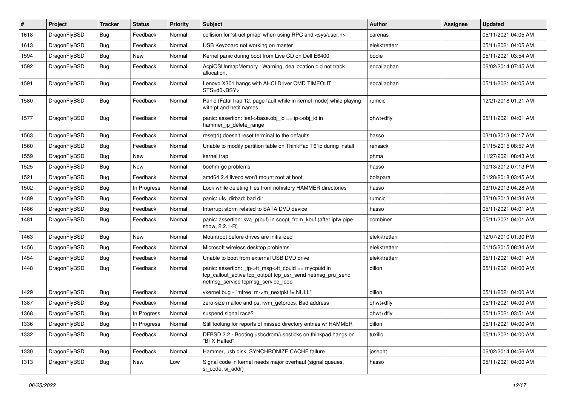| $\pmb{\#}$ | Project      | <b>Tracker</b> | <b>Status</b> | <b>Priority</b> | Subject                                                                                                                                                   | Author        | <b>Assignee</b> | <b>Updated</b>      |
|------------|--------------|----------------|---------------|-----------------|-----------------------------------------------------------------------------------------------------------------------------------------------------------|---------------|-----------------|---------------------|
| 1618       | DragonFlyBSD | <b>Bug</b>     | Feedback      | Normal          | collision for 'struct pmap' when using RPC and <sys user.h=""></sys>                                                                                      | carenas       |                 | 05/11/2021 04:05 AM |
| 1613       | DragonFlyBSD | <b>Bug</b>     | Feedback      | Normal          | USB Keyboard not working on master                                                                                                                        | elekktretterr |                 | 05/11/2021 04:05 AM |
| 1594       | DragonFlyBSD | <b>Bug</b>     | New           | Normal          | Kernel panic during boot from Live CD on Dell E6400                                                                                                       | bodie         |                 | 05/11/2021 03:54 AM |
| 1592       | DragonFlyBSD | Bug            | Feedback      | Normal          | AcpiOSUnmapMemory: Warning, deallocation did not track<br>allocation.                                                                                     | eocallaghan   |                 | 06/02/2014 07:45 AM |
| 1591       | DragonFlyBSD | Bug            | Feedback      | Normal          | Lenovo X301 hangs with AHCI Driver CMD TIMEOUT<br>STS=d0 <bsy></bsy>                                                                                      | eocallaghan   |                 | 05/11/2021 04:05 AM |
| 1580       | DragonFlyBSD | <b>Bug</b>     | Feedback      | Normal          | Panic (Fatal trap 12: page fault while in kernel mode) while playing<br>with pf and netif names                                                           | rumcic        |                 | 12/21/2018 01:21 AM |
| 1577       | DragonFlyBSD | Bug            | Feedback      | Normal          | panic: assertion: leaf->base.obj_id == ip->obj_id in<br>hammer_ip_delete_range                                                                            | qhwt+dfly     |                 | 05/11/2021 04:01 AM |
| 1563       | DragonFlyBSD | Bug            | Feedback      | Normal          | reset(1) doesn't reset terminal to the defaults                                                                                                           | hasso         |                 | 03/10/2013 04:17 AM |
| 1560       | DragonFlyBSD | <b>Bug</b>     | Feedback      | Normal          | Unable to modify partition table on ThinkPad T61p during install                                                                                          | rehsack       |                 | 01/15/2015 08:57 AM |
| 1559       | DragonFlyBSD | <b>Bug</b>     | New           | Normal          | kernel trap                                                                                                                                               | phma          |                 | 11/27/2021 08:43 AM |
| 1525       | DragonFlyBSD | Bug            | <b>New</b>    | Normal          | boehm-gc problems                                                                                                                                         | hasso         |                 | 10/13/2012 07:13 PM |
| 1521       | DragonFlyBSD | Bug            | Feedback      | Normal          | amd64 2.4 livecd won't mount root at boot                                                                                                                 | bolapara      |                 | 01/28/2018 03:45 AM |
| 1502       | DragonFlyBSD | <b>Bug</b>     | In Progress   | Normal          | Lock while deleting files from nohistory HAMMER directories                                                                                               | hasso         |                 | 03/10/2013 04:28 AM |
| 1489       | DragonFlyBSD | <b>Bug</b>     | Feedback      | Normal          | panic: ufs_dirbad: bad dir                                                                                                                                | rumcic        |                 | 03/10/2013 04:34 AM |
| 1486       | DragonFlyBSD | <b>Bug</b>     | Feedback      | Normal          | Interrupt storm related to SATA DVD device                                                                                                                | hasso         |                 | 05/11/2021 04:01 AM |
| 1481       | DragonFlyBSD | <b>Bug</b>     | Feedback      | Normal          | panic: assertion: kva p(buf) in soopt from kbuf (after ipfw pipe<br>show, 2.2.1-R)                                                                        | combiner      |                 | 05/11/2021 04:01 AM |
| 1463       | DragonFlyBSD | <b>Bug</b>     | New           | Normal          | Mountroot before drives are initialized                                                                                                                   | elekktretterr |                 | 12/07/2010 01:30 PM |
| 1456       | DragonFlyBSD | Bug            | Feedback      | Normal          | Microsoft wireless desktop problems                                                                                                                       | elekktretterr |                 | 01/15/2015 08:34 AM |
| 1454       | DragonFlyBSD | <b>Bug</b>     | Feedback      | Normal          | Unable to boot from external USB DVD drive                                                                                                                | elekktretterr |                 | 05/11/2021 04:01 AM |
| 1448       | DragonFlyBSD | Bug            | Feedback      | Normal          | panic: assertion: _tp->tt_msg->tt_cpuid == mycpuid in<br>tcp_callout_active tcp_output tcp_usr_send netmsg_pru_send<br>netmsg_service tcpmsg_service_loop | dillon        |                 | 05/11/2021 04:00 AM |
| 1429       | DragonFlyBSD | <b>Bug</b>     | Feedback      | Normal          | vkernel bug - "mfree: m->m_nextpkt != NULL"                                                                                                               | dillon        |                 | 05/11/2021 04:00 AM |
| 1387       | DragonFlyBSD | <b>Bug</b>     | Feedback      | Normal          | zero-size malloc and ps: kvm_getprocs: Bad address                                                                                                        | qhwt+dfly     |                 | 05/11/2021 04:00 AM |
| 1368       | DragonFlyBSD | <b>Bug</b>     | In Progress   | Normal          | suspend signal race?                                                                                                                                      | qhwt+dfly     |                 | 05/11/2021 03:51 AM |
| 1336       | DragonFlyBSD | Bug            | In Progress   | Normal          | Still looking for reports of missed directory entries w/ HAMMER                                                                                           | dillon        |                 | 05/11/2021 04:00 AM |
| 1332       | DragonFlyBSD | Bug            | Feedback      | Normal          | DFBSD 2.2 - Booting usbcdrom/usbsticks on thinkpad hangs on<br>"BTX Halted"                                                                               | tuxillo       |                 | 05/11/2021 04:00 AM |
| 1330       | DragonFlyBSD | Bug            | Feedback      | Normal          | Hammer, usb disk, SYNCHRONIZE CACHE failure                                                                                                               | josepht       |                 | 06/02/2014 04:56 AM |
| 1313       | DragonFlyBSD | Bug            | New           | Low             | Signal code in kernel needs major overhaul (signal queues,<br>si_code, si_addr)                                                                           | hasso         |                 | 05/11/2021 04:00 AM |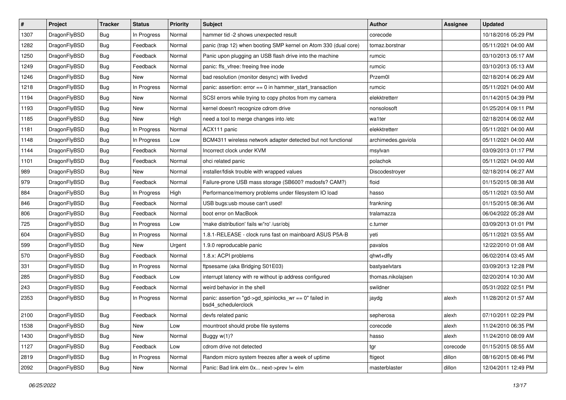| $\sharp$ | Project      | <b>Tracker</b> | <b>Status</b> | <b>Priority</b> | <b>Subject</b>                                                               | Author             | Assignee | <b>Updated</b>      |
|----------|--------------|----------------|---------------|-----------------|------------------------------------------------------------------------------|--------------------|----------|---------------------|
| 1307     | DragonFlyBSD | Bug            | In Progress   | Normal          | hammer tid -2 shows unexpected result                                        | corecode           |          | 10/18/2016 05:29 PM |
| 1282     | DragonFlyBSD | Bug            | Feedback      | Normal          | panic (trap 12) when booting SMP kernel on Atom 330 (dual core)              | tomaz.borstnar     |          | 05/11/2021 04:00 AM |
| 1250     | DragonFlyBSD | <b>Bug</b>     | Feedback      | Normal          | Panic upon plugging an USB flash drive into the machine                      | rumcic             |          | 03/10/2013 05:17 AM |
| 1249     | DragonFlyBSD | <b>Bug</b>     | Feedback      | Normal          | panic: ffs_vfree: freeing free inode                                         | rumcic             |          | 03/10/2013 05:13 AM |
| 1246     | DragonFlyBSD | Bug            | New           | Normal          | bad resolution (monitor desync) with livedvd                                 | Przem0l            |          | 02/18/2014 06:29 AM |
| 1218     | DragonFlyBSD | Bug            | In Progress   | Normal          | panic: assertion: $error == 0$ in hammer start transaction                   | rumcic             |          | 05/11/2021 04:00 AM |
| 1194     | DragonFlyBSD | Bug            | New           | Normal          | SCSI errors while trying to copy photos from my camera                       | elekktretterr      |          | 01/14/2015 04:39 PM |
| 1193     | DragonFlyBSD | Bug            | <b>New</b>    | Normal          | kernel doesn't recognize cdrom drive                                         | nonsolosoft        |          | 01/25/2014 09:11 PM |
| 1185     | DragonFlyBSD | Bug            | <b>New</b>    | High            | need a tool to merge changes into /etc                                       | wa1ter             |          | 02/18/2014 06:02 AM |
| 1181     | DragonFlyBSD | Bug            | In Progress   | Normal          | ACX111 panic                                                                 | elekktretterr      |          | 05/11/2021 04:00 AM |
| 1148     | DragonFlyBSD | Bug            | In Progress   | Low             | BCM4311 wireless network adapter detected but not functional                 | archimedes.gaviola |          | 05/11/2021 04:00 AM |
| 1144     | DragonFlyBSD | Bug            | Feedback      | Normal          | Incorrect clock under KVM                                                    | msylvan            |          | 03/09/2013 01:17 PM |
| 1101     | DragonFlyBSD | <b>Bug</b>     | Feedback      | Normal          | ohci related panic                                                           | polachok           |          | 05/11/2021 04:00 AM |
| 989      | DragonFlyBSD | <b>Bug</b>     | New           | Normal          | installer/fdisk trouble with wrapped values                                  | Discodestroyer     |          | 02/18/2014 06:27 AM |
| 979      | DragonFlyBSD | <b>Bug</b>     | Feedback      | Normal          | Failure-prone USB mass storage (SB600? msdosfs? CAM?)                        | floid              |          | 01/15/2015 08:38 AM |
| 884      | DragonFlyBSD | Bug            | In Progress   | High            | Performance/memory problems under filesystem IO load                         | hasso              |          | 05/11/2021 03:50 AM |
| 846      | DragonFlyBSD | Bug            | Feedback      | Normal          | USB bugs:usb mouse can't used!                                               | frankning          |          | 01/15/2015 08:36 AM |
| 806      | DragonFlyBSD | <b>Bug</b>     | Feedback      | Normal          | boot error on MacBook                                                        | tralamazza         |          | 06/04/2022 05:28 AM |
| 725      | DragonFlyBSD | Bug            | In Progress   | Low             | 'make distribution' fails w/'ro' /usr/obj                                    | c.turner           |          | 03/09/2013 01:01 PM |
| 604      | DragonFlyBSD | Bug            | In Progress   | Normal          | 1.8.1-RELEASE - clock runs fast on mainboard ASUS P5A-B                      | yeti               |          | 05/11/2021 03:55 AM |
| 599      | DragonFlyBSD | Bug            | New           | Urgent          | 1.9.0 reproducable panic                                                     | pavalos            |          | 12/22/2010 01:08 AM |
| 570      | DragonFlyBSD | <b>Bug</b>     | Feedback      | Normal          | 1.8.x: ACPI problems                                                         | qhwt+dfly          |          | 06/02/2014 03:45 AM |
| 331      | DragonFlyBSD | Bug            | In Progress   | Normal          | ftpsesame (aka Bridging S01E03)                                              | bastyaelvtars      |          | 03/09/2013 12:28 PM |
| 285      | DragonFlyBSD | <b>Bug</b>     | Feedback      | Low             | interrupt latency with re without ip address configured                      | thomas.nikolajsen  |          | 02/20/2014 10:30 AM |
| 243      | DragonFlyBSD | Bug            | Feedback      | Normal          | weird behavior in the shell                                                  | swildner           |          | 05/31/2022 02:51 PM |
| 2353     | DragonFlyBSD | Bug            | In Progress   | Normal          | panic: assertion "gd->gd_spinlocks_wr == 0" failed in<br>bsd4_schedulerclock | jaydg              | alexh    | 11/28/2012 01:57 AM |
| 2100     | DragonFlyBSD | <b>Bug</b>     | Feedback      | Normal          | devfs related panic                                                          | sepherosa          | alexh    | 07/10/2011 02:29 PM |
| 1538     | DragonFlyBSD | <b>Bug</b>     | <b>New</b>    | Low             | mountroot should probe file systems                                          | corecode           | alexh    | 11/24/2010 06:35 PM |
| 1430     | DragonFlyBSD | <b>Bug</b>     | New           | Normal          | Buggy w(1)?                                                                  | hasso              | alexh    | 11/24/2010 08:09 AM |
| 1127     | DragonFlyBSD | <b>Bug</b>     | Feedback      | Low             | cdrom drive not detected                                                     | tgr                | corecode | 01/15/2015 08:55 AM |
| 2819     | DragonFlyBSD | <b>Bug</b>     | In Progress   | Normal          | Random micro system freezes after a week of uptime                           | ftigeot            | dillon   | 08/16/2015 08:46 PM |
| 2092     | DragonFlyBSD | Bug            | New           | Normal          | Panic: Bad link elm 0x next->prev != elm                                     | masterblaster      | dillon   | 12/04/2011 12:49 PM |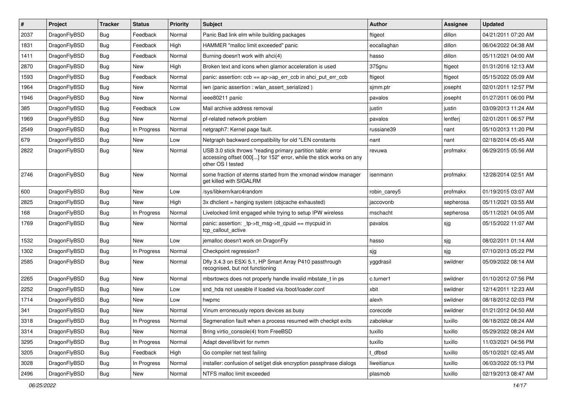| $\pmb{\#}$ | Project      | <b>Tracker</b> | <b>Status</b> | Priority | <b>Subject</b>                                                                                                                                           | <b>Author</b> | Assignee  | <b>Updated</b>      |
|------------|--------------|----------------|---------------|----------|----------------------------------------------------------------------------------------------------------------------------------------------------------|---------------|-----------|---------------------|
| 2037       | DragonFlyBSD | Bug            | Feedback      | Normal   | Panic Bad link elm while building packages                                                                                                               | ftigeot       | dillon    | 04/21/2011 07:20 AM |
| 1831       | DragonFlyBSD | Bug            | Feedback      | High     | HAMMER "malloc limit exceeded" panic                                                                                                                     | eocallaghan   | dillon    | 06/04/2022 04:38 AM |
| 1411       | DragonFlyBSD | Bug            | Feedback      | Normal   | Burning doesn't work with ahci(4)                                                                                                                        | hasso         | dillon    | 05/11/2021 04:00 AM |
| 2870       | DragonFlyBSD | Bug            | <b>New</b>    | High     | Broken text and icons when glamor acceleration is used                                                                                                   | 375gnu        | ftigeot   | 01/31/2016 12:13 AM |
| 1593       | DragonFlyBSD | Bug            | Feedback      | Normal   | panic: assertion: $\cosh = a$ p->ap err $\cosh$ in ahci put err $\cosh$                                                                                  | ftigeot       | ftigeot   | 05/15/2022 05:09 AM |
| 1964       | DragonFlyBSD | <b>Bug</b>     | <b>New</b>    | Normal   | iwn (panic assertion : wlan assert serialized)                                                                                                           | sjmm.ptr      | josepht   | 02/01/2011 12:57 PM |
| 1946       | DragonFlyBSD | Bug            | <b>New</b>    | Normal   | ieee80211 panic                                                                                                                                          | pavalos       | josepht   | 01/27/2011 06:00 PM |
| 385        | DragonFlyBSD | Bug            | Feedback      | Low      | Mail archive address removal                                                                                                                             | justin        | justin    | 03/09/2013 11:24 AM |
| 1969       | DragonFlyBSD | Bug            | <b>New</b>    | Normal   | pf-related network problem                                                                                                                               | pavalos       | lentferj  | 02/01/2011 06:57 PM |
| 2549       | DragonFlyBSD | Bug            | In Progress   | Normal   | netgraph7: Kernel page fault.                                                                                                                            | russiane39    | nant      | 05/10/2013 11:20 PM |
| 679        | DragonFlyBSD | Bug            | <b>New</b>    | Low      | Netgraph backward compatibility for old *LEN constants                                                                                                   | nant          | nant      | 02/18/2014 05:45 AM |
| 2822       | DragonFlyBSD | Bug            | New           | Normal   | USB 3.0 stick throws "reading primary partition table: error<br>accessing offset 000[] for 152" error, while the stick works on any<br>other OS I tested | revuwa        | profmakx  | 06/29/2015 05:56 AM |
| 2746       | DragonFlyBSD | Bug            | <b>New</b>    | Normal   | some fraction of xterms started from the xmonad window manager<br>get killed with SIGALRM                                                                | isenmann      | profmakx  | 12/28/2014 02:51 AM |
| 600        | DragonFlyBSD | Bug            | <b>New</b>    | Low      | /sys/libkern/karc4random                                                                                                                                 | robin_carey5  | profmakx  | 01/19/2015 03:07 AM |
| 2825       | DragonFlyBSD | Bug            | <b>New</b>    | High     | 3x dhclient = hanging system (objcache exhausted)                                                                                                        | jaccovonb     | sepherosa | 05/11/2021 03:55 AM |
| 168        | DragonFlyBSD | Bug            | In Progress   | Normal   | Livelocked limit engaged while trying to setup IPW wireless                                                                                              | mschacht      | sepherosa | 05/11/2021 04:05 AM |
| 1769       | DragonFlyBSD | Bug            | <b>New</b>    | Normal   | panic: assertion: _tp->tt_msg->tt_cpuid == mycpuid in<br>tcp_callout_active                                                                              | pavalos       | sjg       | 05/15/2022 11:07 AM |
| 1532       | DragonFlyBSD | Bug            | <b>New</b>    | Low      | jemalloc doesn't work on DragonFly                                                                                                                       | hasso         | sjg       | 08/02/2011 01:14 AM |
| 1302       | DragonFlyBSD | Bug            | In Progress   | Normal   | Checkpoint regression?                                                                                                                                   | sjg           | sjg       | 07/10/2013 05:22 PM |
| 2585       | DragonFlyBSD | Bug            | <b>New</b>    | Normal   | Dfly 3.4.3 on ESXi 5.1, HP Smart Array P410 passthrough<br>recognised, but not functioning                                                               | yggdrasil     | swildner  | 05/09/2022 08:14 AM |
| 2265       | DragonFlyBSD | Bug            | <b>New</b>    | Normal   | mbsrtowcs does not properly handle invalid mbstate_t in ps                                                                                               | c.turner1     | swildner  | 01/10/2012 07:56 PM |
| 2252       | DragonFlyBSD | Bug            | <b>New</b>    | Low      | snd hda not useable if loaded via /boot/loader.conf                                                                                                      | xbit          | swildner  | 12/14/2011 12:23 AM |
| 1714       | DragonFlyBSD | Bug            | <b>New</b>    | Low      | hwpmc                                                                                                                                                    | alexh         | swildner  | 08/18/2012 02:03 PM |
| 341        | DragonFlyBSD | Bug            | New           | Normal   | Vinum erroneously repors devices as busy                                                                                                                 | corecode      | swildner  | 01/21/2012 04:50 AM |
| 3318       | DragonFlyBSD | Bug            | In Progress   | Normal   | Segmenation fault when a process resumed with checkpt exits                                                                                              | zabolekar     | tuxillo   | 06/18/2022 08:24 AM |
| 3314       | DragonFlyBSD | Bug            | New           | Normal   | Bring virtio_console(4) from FreeBSD                                                                                                                     | tuxillo       | tuxillo   | 05/29/2022 08:24 AM |
| 3295       | DragonFlyBSD | <b>Bug</b>     | In Progress   | Normal   | Adapt devel/libvirt for nvmm                                                                                                                             | tuxillo       | tuxillo   | 11/03/2021 04:56 PM |
| 3205       | DragonFlyBSD | <b>Bug</b>     | Feedback      | High     | Go compiler net test failing                                                                                                                             | t_dfbsd       | tuxillo   | 05/10/2021 02:45 AM |
| 3028       | DragonFlyBSD | Bug            | In Progress   | Normal   | installer: confusion of set/get disk encryption passphrase dialogs                                                                                       | liweitianux   | tuxillo   | 06/03/2022 05:13 PM |
| 2496       | DragonFlyBSD | Bug            | New           | Normal   | NTFS malloc limit exceeded                                                                                                                               | plasmob       | tuxillo   | 02/19/2013 08:47 AM |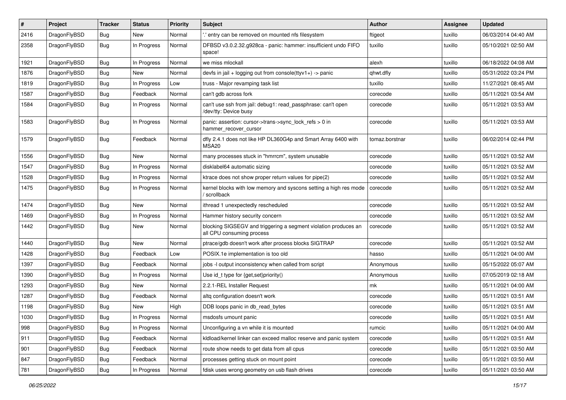| ∦    | Project      | <b>Tracker</b> | <b>Status</b> | <b>Priority</b> | Subject                                                                                      | Author         | <b>Assignee</b> | <b>Updated</b>      |
|------|--------------|----------------|---------------|-----------------|----------------------------------------------------------------------------------------------|----------------|-----------------|---------------------|
| 2416 | DragonFlyBSD | <b>Bug</b>     | New           | Normal          | ' entry can be removed on mounted nfs filesystem                                             | ftigeot        | tuxillo         | 06/03/2014 04:40 AM |
| 2358 | DragonFlyBSD | <b>Bug</b>     | In Progress   | Normal          | DFBSD v3.0.2.32.g928ca - panic: hammer: insufficient undo FIFO<br>space!                     | tuxillo        | tuxillo         | 05/10/2021 02:50 AM |
| 1921 | DragonFlyBSD | Bug            | In Progress   | Normal          | we miss mlockall                                                                             | alexh          | tuxillo         | 06/18/2022 04:08 AM |
| 1876 | DragonFlyBSD | <b>Bug</b>     | New           | Normal          | devfs in jail + logging out from console(ttyv1+) -> panic                                    | qhwt.dfly      | tuxillo         | 05/31/2022 03:24 PM |
| 1819 | DragonFlyBSD | Bug            | In Progress   | Low             | truss - Major revamping task list                                                            | tuxillo        | tuxillo         | 11/27/2021 08:45 AM |
| 1587 | DragonFlyBSD | <b>Bug</b>     | Feedback      | Normal          | can't gdb across fork                                                                        | corecode       | tuxillo         | 05/11/2021 03:54 AM |
| 1584 | DragonFlyBSD | Bug            | In Progress   | Normal          | can't use ssh from jail: debug1: read_passphrase: can't open<br>/dev/tty: Device busy        | corecode       | tuxillo         | 05/11/2021 03:53 AM |
| 1583 | DragonFlyBSD | Bug            | In Progress   | Normal          | panic: assertion: cursor->trans->sync_lock_refs > 0 in<br>hammer_recover_cursor              | corecode       | tuxillo         | 05/11/2021 03:53 AM |
| 1579 | DragonFlyBSD | <b>Bug</b>     | Feedback      | Normal          | dfly 2.4.1 does not like HP DL360G4p and Smart Array 6400 with<br>MSA20                      | tomaz.borstnar | tuxillo         | 06/02/2014 02:44 PM |
| 1556 | DragonFlyBSD | Bug            | New           | Normal          | many processes stuck in "hmrrcm", system unusable                                            | corecode       | tuxillo         | 05/11/2021 03:52 AM |
| 1547 | DragonFlyBSD | Bug            | In Progress   | Normal          | disklabel64 automatic sizing                                                                 | corecode       | tuxillo         | 05/11/2021 03:52 AM |
| 1528 | DragonFlyBSD | <b>Bug</b>     | In Progress   | Normal          | ktrace does not show proper return values for pipe(2)                                        | corecode       | tuxillo         | 05/11/2021 03:52 AM |
| 1475 | DragonFlyBSD | Bug            | In Progress   | Normal          | kernel blocks with low memory and syscons setting a high res mode<br>scrollback              | corecode       | tuxillo         | 05/11/2021 03:52 AM |
| 1474 | DragonFlyBSD | Bug            | New           | Normal          | ithread 1 unexpectedly rescheduled                                                           | corecode       | tuxillo         | 05/11/2021 03:52 AM |
| 1469 | DragonFlyBSD | Bug            | In Progress   | Normal          | Hammer history security concern                                                              | corecode       | tuxillo         | 05/11/2021 03:52 AM |
| 1442 | DragonFlyBSD | Bug            | New           | Normal          | blocking SIGSEGV and triggering a segment violation produces an<br>all CPU consuming process | corecode       | tuxillo         | 05/11/2021 03:52 AM |
| 1440 | DragonFlyBSD | Bug            | New           | Normal          | ptrace/gdb doesn't work after process blocks SIGTRAP                                         | corecode       | tuxillo         | 05/11/2021 03:52 AM |
| 1428 | DragonFlyBSD | <b>Bug</b>     | Feedback      | Low             | POSIX.1e implementation is too old                                                           | hasso          | tuxillo         | 05/11/2021 04:00 AM |
| 1397 | DragonFlyBSD | <b>Bug</b>     | Feedback      | Normal          | jobs -I output inconsistency when called from script                                         | Anonymous      | tuxillo         | 05/15/2022 05:07 AM |
| 1390 | DragonFlyBSD | <b>Bug</b>     | In Progress   | Normal          | Use id_t type for {get,set}priority()                                                        | Anonymous      | tuxillo         | 07/05/2019 02:18 AM |
| 1293 | DragonFlyBSD | <b>Bug</b>     | New           | Normal          | 2.2.1-REL Installer Request                                                                  | mk             | tuxillo         | 05/11/2021 04:00 AM |
| 1287 | DragonFlyBSD | Bug            | Feedback      | Normal          | altg configuration doesn't work                                                              | corecode       | tuxillo         | 05/11/2021 03:51 AM |
| 1198 | DragonFlyBSD | <b>Bug</b>     | New           | High            | DDB loops panic in db_read_bytes                                                             | corecode       | tuxillo         | 05/11/2021 03:51 AM |
| 1030 | DragonFlyBSD | Bug            | In Progress   | Normal          | msdosfs umount panic                                                                         | corecode       | tuxillo         | 05/11/2021 03:51 AM |
| 998  | DragonFlyBSD | Bug            | In Progress   | Normal          | Unconfiguring a vn while it is mounted                                                       | rumcic         | tuxillo         | 05/11/2021 04:00 AM |
| 911  | DragonFlyBSD | Bug            | Feedback      | Normal          | kldload/kernel linker can exceed malloc reserve and panic system                             | corecode       | tuxillo         | 05/11/2021 03:51 AM |
| 901  | DragonFlyBSD | <b>Bug</b>     | Feedback      | Normal          | route show needs to get data from all cpus                                                   | corecode       | tuxillo         | 05/11/2021 03:50 AM |
| 847  | DragonFlyBSD | Bug            | Feedback      | Normal          | processes getting stuck on mount point                                                       | corecode       | tuxillo         | 05/11/2021 03:50 AM |
| 781  | DragonFlyBSD | <b>Bug</b>     | In Progress   | Normal          | fdisk uses wrong geometry on usb flash drives                                                | corecode       | tuxillo         | 05/11/2021 03:50 AM |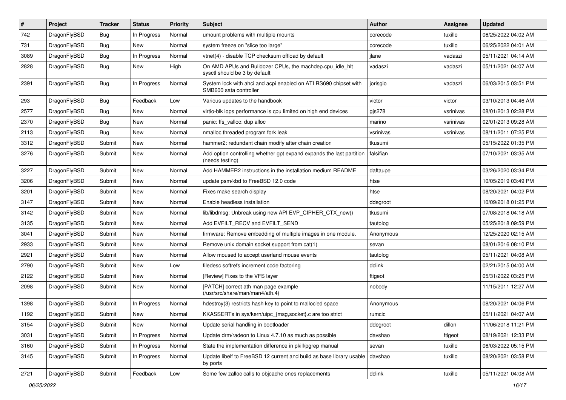| $\sharp$ | Project      | <b>Tracker</b> | <b>Status</b> | <b>Priority</b> | <b>Subject</b>                                                                             | <b>Author</b> | Assignee  | <b>Updated</b>      |
|----------|--------------|----------------|---------------|-----------------|--------------------------------------------------------------------------------------------|---------------|-----------|---------------------|
| 742      | DragonFlyBSD | <b>Bug</b>     | In Progress   | Normal          | umount problems with multiple mounts                                                       | corecode      | tuxillo   | 06/25/2022 04:02 AM |
| 731      | DragonFlyBSD | <b>Bug</b>     | <b>New</b>    | Normal          | system freeze on "slice too large"                                                         | corecode      | tuxillo   | 06/25/2022 04:01 AM |
| 3089     | DragonFlyBSD | <b>Bug</b>     | In Progress   | Normal          | vtnet(4) - disable TCP checksum offload by default                                         | jlane         | vadaszi   | 05/11/2021 04:14 AM |
| 2828     | DragonFlyBSD | <b>Bug</b>     | New           | High            | On AMD APUs and Bulldozer CPUs, the machdep.cpu idle hlt<br>sysctl should be 3 by default  | vadaszi       | vadaszi   | 05/11/2021 04:07 AM |
| 2391     | DragonFlyBSD | <b>Bug</b>     | In Progress   | Normal          | System lock with ahci and acpi enabled on ATI RS690 chipset with<br>SMB600 sata controller | jorisgio      | vadaszi   | 06/03/2015 03:51 PM |
| 293      | DragonFlyBSD | <b>Bug</b>     | Feedback      | Low             | Various updates to the handbook                                                            | victor        | victor    | 03/10/2013 04:46 AM |
| 2577     | DragonFlyBSD | <b>Bug</b>     | <b>New</b>    | Normal          | virtio-blk iops performance is cpu limited on high end devices                             | gjs278        | vsrinivas | 08/01/2013 02:28 PM |
| 2370     | DragonFlyBSD | <b>Bug</b>     | New           | Normal          | panic: ffs_valloc: dup alloc                                                               | marino        | vsrinivas | 02/01/2013 09:28 AM |
| 2113     | DragonFlyBSD | <b>Bug</b>     | New           | Normal          | nmalloc threaded program fork leak                                                         | vsrinivas     | vsrinivas | 08/11/2011 07:25 PM |
| 3312     | DragonFlyBSD | Submit         | New           | Normal          | hammer2: redundant chain modify after chain creation                                       | tkusumi       |           | 05/15/2022 01:35 PM |
| 3276     | DragonFlyBSD | Submit         | New           | Normal          | Add option controlling whether gpt expand expands the last partition<br>(needs testing)    | falsifian     |           | 07/10/2021 03:35 AM |
| 3227     | DragonFlyBSD | Submit         | <b>New</b>    | Normal          | Add HAMMER2 instructions in the installation medium README                                 | daftaupe      |           | 03/26/2020 03:34 PM |
| 3206     | DragonFlyBSD | Submit         | New           | Normal          | update psm/kbd to FreeBSD 12.0 code                                                        | htse          |           | 10/05/2019 03:49 PM |
| 3201     | DragonFlyBSD | Submit         | New           | Normal          | Fixes make search display                                                                  | htse          |           | 08/20/2021 04:02 PM |
| 3147     | DragonFlyBSD | Submit         | New           | Normal          | Enable headless installation                                                               | ddegroot      |           | 10/09/2018 01:25 PM |
| 3142     | DragonFlyBSD | Submit         | New           | Normal          | lib/libdmsg: Unbreak using new API EVP CIPHER CTX new()                                    | tkusumi       |           | 07/08/2018 04:18 AM |
| 3135     | DragonFlyBSD | Submit         | New           | Normal          | Add EVFILT_RECV and EVFILT_SEND                                                            | tautolog      |           | 05/25/2018 09:59 PM |
| 3041     | DragonFlyBSD | Submit         | New           | Normal          | firmware: Remove embedding of multiple images in one module.                               | Anonymous     |           | 12/25/2020 02:15 AM |
| 2933     | DragonFlyBSD | Submit         | New           | Normal          | Remove unix domain socket support from cat(1)                                              | sevan         |           | 08/01/2016 08:10 PM |
| 2921     | DragonFlyBSD | Submit         | New           | Normal          | Allow moused to accept userland mouse events                                               | tautolog      |           | 05/11/2021 04:08 AM |
| 2790     | DragonFlyBSD | Submit         | New           | Low             | filedesc softrefs increment code factoring                                                 | dclink        |           | 02/21/2015 04:00 AM |
| 2122     | DragonFlyBSD | Submit         | New           | Normal          | [Review] Fixes to the VFS layer                                                            | ftigeot       |           | 05/31/2022 03:25 PM |
| 2098     | DragonFlyBSD | Submit         | New           | Normal          | [PATCH] correct ath man page example<br>(/usr/src/share/man/man4/ath.4)                    | nobody        |           | 11/15/2011 12:27 AM |
| 1398     | DragonFlyBSD | Submit         | In Progress   | Normal          | hdestroy(3) restricts hash key to point to malloc'ed space                                 | Anonymous     |           | 08/20/2021 04:06 PM |
| 1192     | DragonFlyBSD | Submit         | New           | Normal          | KKASSERTs in sys/kern/uipc_{msg,socket}.c are too strict                                   | rumcic        |           | 05/11/2021 04:07 AM |
| 3154     | DragonFlyBSD | Submit         | New           | Normal          | Update serial handling in bootloader                                                       | ddegroot      | dillon    | 11/06/2018 11:21 PM |
| 3031     | DragonFlyBSD | Submit         | In Progress   | Normal          | Update drm/radeon to Linux 4.7.10 as much as possible                                      | davshao       | ftigeot   | 08/19/2021 12:33 PM |
| 3160     | DragonFlyBSD | Submit         | In Progress   | Normal          | State the implementation difference in pkill/pgrep manual                                  | sevan         | tuxillo   | 06/03/2022 05:15 PM |
| 3145     | DragonFlyBSD | Submit         | In Progress   | Normal          | Update libelf to FreeBSD 12 current and build as base library usable<br>by ports           | davshao       | tuxillo   | 08/20/2021 03:58 PM |
| 2721     | DragonFlyBSD | Submit         | Feedback      | Low             | Some few zalloc calls to objcache ones replacements                                        | dclink        | tuxillo   | 05/11/2021 04:08 AM |